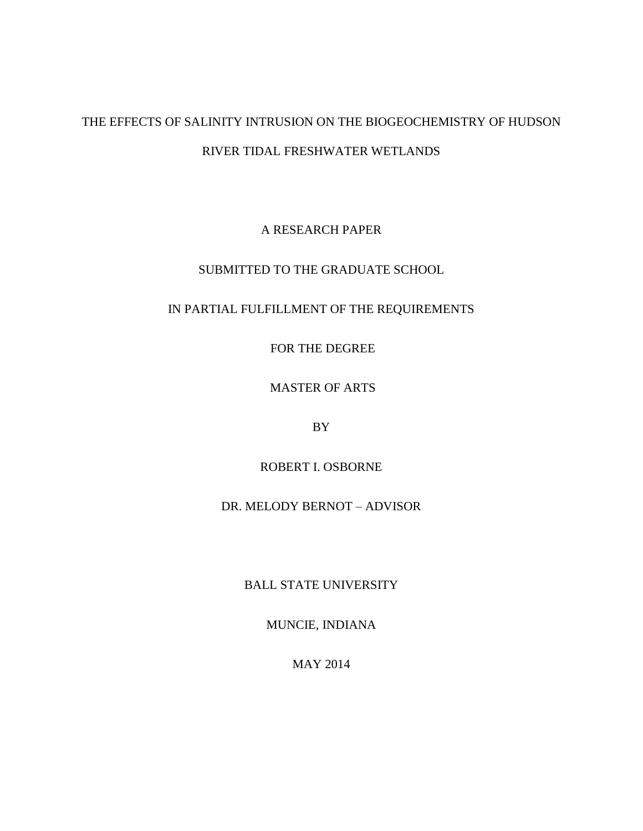# THE EFFECTS OF SALINITY INTRUSION ON THE BIOGEOCHEMISTRY OF HUDSON RIVER TIDAL FRESHWATER WETLANDS

A RESEARCH PAPER

SUBMITTED TO THE GRADUATE SCHOOL

## IN PARTIAL FULFILLMENT OF THE REQUIREMENTS

FOR THE DEGREE

MASTER OF ARTS

BY

ROBERT I. OSBORNE

DR. MELODY BERNOT – ADVISOR

BALL STATE UNIVERSITY

MUNCIE, INDIANA

MAY 2014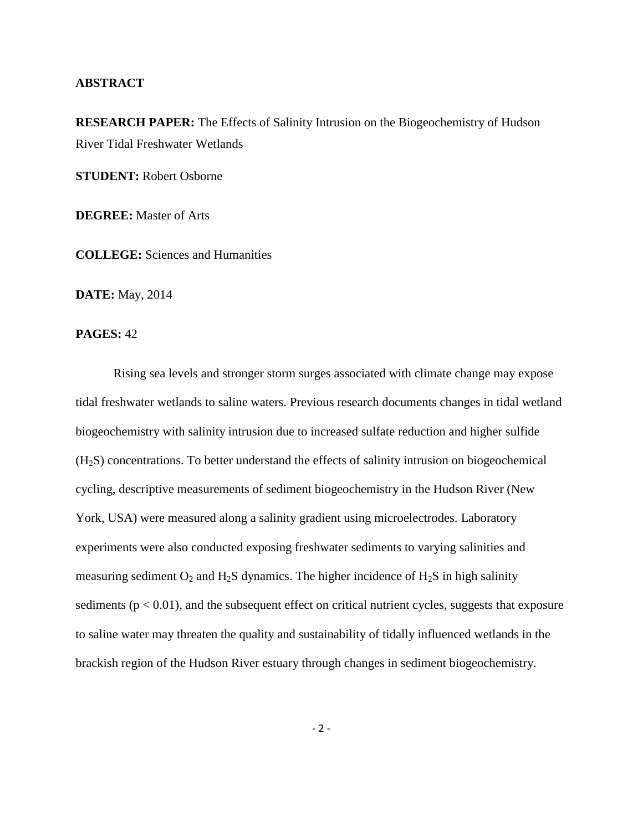## **ABSTRACT**

**RESEARCH PAPER:** The Effects of Salinity Intrusion on the Biogeochemistry of Hudson River Tidal Freshwater Wetlands

**STUDENT:** Robert Osborne

**DEGREE:** Master of Arts

**COLLEGE:** Sciences and Humanities

**DATE:** May, 2014

## **PAGES:** 42

Rising sea levels and stronger storm surges associated with climate change may expose tidal freshwater wetlands to saline waters. Previous research documents changes in tidal wetland biogeochemistry with salinity intrusion due to increased sulfate reduction and higher sulfide (H2S) concentrations. To better understand the effects of salinity intrusion on biogeochemical cycling, descriptive measurements of sediment biogeochemistry in the Hudson River (New York, USA) were measured along a salinity gradient using microelectrodes. Laboratory experiments were also conducted exposing freshwater sediments to varying salinities and measuring sediment  $O_2$  and  $H_2S$  dynamics. The higher incidence of  $H_2S$  in high salinity sediments ( $p < 0.01$ ), and the subsequent effect on critical nutrient cycles, suggests that exposure to saline water may threaten the quality and sustainability of tidally influenced wetlands in the brackish region of the Hudson River estuary through changes in sediment biogeochemistry.

 $-2 -$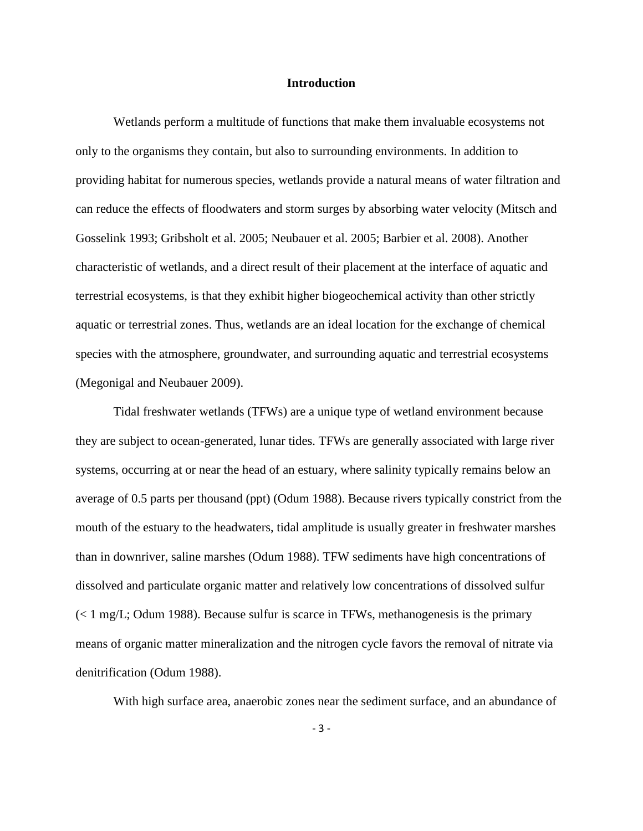#### **Introduction**

Wetlands perform a multitude of functions that make them invaluable ecosystems not only to the organisms they contain, but also to surrounding environments. In addition to providing habitat for numerous species, wetlands provide a natural means of water filtration and can reduce the effects of floodwaters and storm surges by absorbing water velocity (Mitsch and Gosselink 1993; Gribsholt et al. 2005; Neubauer et al. 2005; Barbier et al. 2008). Another characteristic of wetlands, and a direct result of their placement at the interface of aquatic and terrestrial ecosystems, is that they exhibit higher biogeochemical activity than other strictly aquatic or terrestrial zones. Thus, wetlands are an ideal location for the exchange of chemical species with the atmosphere, groundwater, and surrounding aquatic and terrestrial ecosystems (Megonigal and Neubauer 2009).

Tidal freshwater wetlands (TFWs) are a unique type of wetland environment because they are subject to ocean-generated, lunar tides. TFWs are generally associated with large river systems, occurring at or near the head of an estuary, where salinity typically remains below an average of 0.5 parts per thousand (ppt) (Odum 1988). Because rivers typically constrict from the mouth of the estuary to the headwaters, tidal amplitude is usually greater in freshwater marshes than in downriver, saline marshes (Odum 1988). TFW sediments have high concentrations of dissolved and particulate organic matter and relatively low concentrations of dissolved sulfur  $\ll 1$  mg/L; Odum 1988). Because sulfur is scarce in TFWs, methanogenesis is the primary means of organic matter mineralization and the nitrogen cycle favors the removal of nitrate via denitrification (Odum 1988).

With high surface area, anaerobic zones near the sediment surface, and an abundance of

- 3 -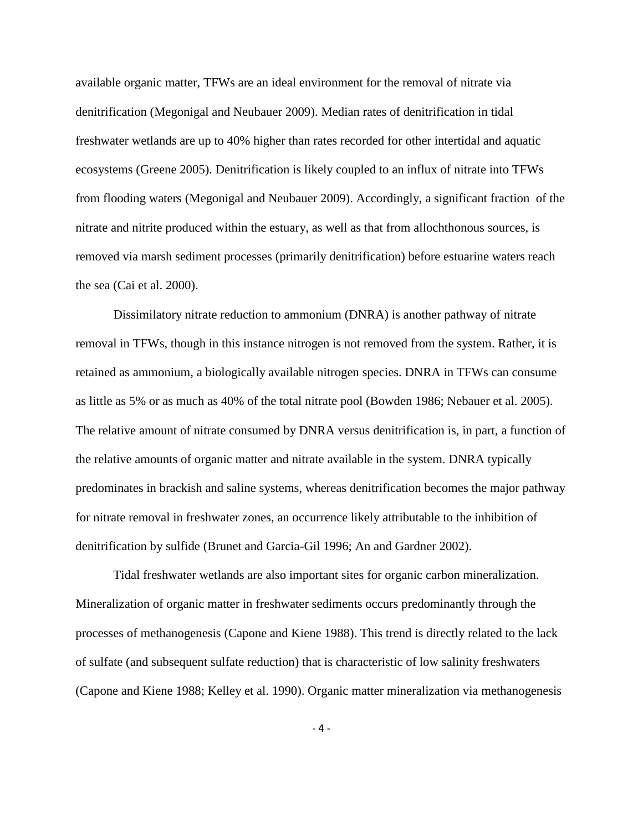available organic matter, TFWs are an ideal environment for the removal of nitrate via denitrification (Megonigal and Neubauer 2009). Median rates of denitrification in tidal freshwater wetlands are up to 40% higher than rates recorded for other intertidal and aquatic ecosystems (Greene 2005). Denitrification is likely coupled to an influx of nitrate into TFWs from flooding waters (Megonigal and Neubauer 2009). Accordingly, a significant fraction of the nitrate and nitrite produced within the estuary, as well as that from allochthonous sources, is removed via marsh sediment processes (primarily denitrification) before estuarine waters reach the sea (Cai et al. 2000).

Dissimilatory nitrate reduction to ammonium (DNRA) is another pathway of nitrate removal in TFWs, though in this instance nitrogen is not removed from the system. Rather, it is retained as ammonium, a biologically available nitrogen species. DNRA in TFWs can consume as little as 5% or as much as 40% of the total nitrate pool (Bowden 1986; Nebauer et al. 2005). The relative amount of nitrate consumed by DNRA versus denitrification is, in part, a function of the relative amounts of organic matter and nitrate available in the system. DNRA typically predominates in brackish and saline systems, whereas denitrification becomes the major pathway for nitrate removal in freshwater zones, an occurrence likely attributable to the inhibition of denitrification by sulfide (Brunet and Garcia-Gil 1996; An and Gardner 2002).

Tidal freshwater wetlands are also important sites for organic carbon mineralization. Mineralization of organic matter in freshwater sediments occurs predominantly through the processes of methanogenesis (Capone and Kiene 1988). This trend is directly related to the lack of sulfate (and subsequent sulfate reduction) that is characteristic of low salinity freshwaters (Capone and Kiene 1988; Kelley et al. 1990). Organic matter mineralization via methanogenesis

- 4 -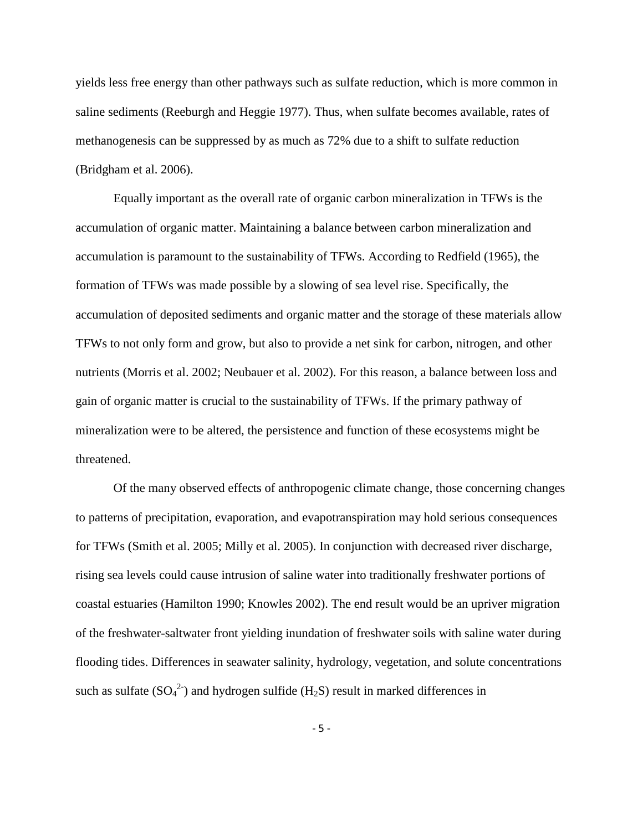yields less free energy than other pathways such as sulfate reduction, which is more common in saline sediments (Reeburgh and Heggie 1977). Thus, when sulfate becomes available, rates of methanogenesis can be suppressed by as much as 72% due to a shift to sulfate reduction (Bridgham et al. 2006).

Equally important as the overall rate of organic carbon mineralization in TFWs is the accumulation of organic matter. Maintaining a balance between carbon mineralization and accumulation is paramount to the sustainability of TFWs. According to Redfield (1965), the formation of TFWs was made possible by a slowing of sea level rise. Specifically, the accumulation of deposited sediments and organic matter and the storage of these materials allow TFWs to not only form and grow, but also to provide a net sink for carbon, nitrogen, and other nutrients (Morris et al. 2002; Neubauer et al. 2002). For this reason, a balance between loss and gain of organic matter is crucial to the sustainability of TFWs. If the primary pathway of mineralization were to be altered, the persistence and function of these ecosystems might be threatened.

Of the many observed effects of anthropogenic climate change, those concerning changes to patterns of precipitation, evaporation, and evapotranspiration may hold serious consequences for TFWs (Smith et al. 2005; Milly et al. 2005). In conjunction with decreased river discharge, rising sea levels could cause intrusion of saline water into traditionally freshwater portions of coastal estuaries (Hamilton 1990; Knowles 2002). The end result would be an upriver migration of the freshwater-saltwater front yielding inundation of freshwater soils with saline water during flooding tides. Differences in seawater salinity, hydrology, vegetation, and solute concentrations such as sulfate  $(SO_4^2)$  and hydrogen sulfide  $(H_2S)$  result in marked differences in

- 5 -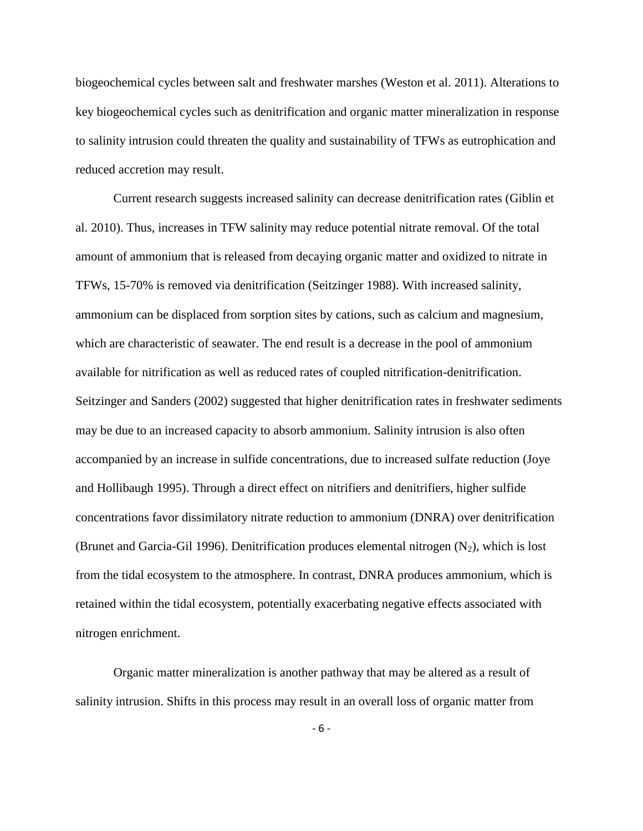biogeochemical cycles between salt and freshwater marshes (Weston et al. 2011). Alterations to key biogeochemical cycles such as denitrification and organic matter mineralization in response to salinity intrusion could threaten the quality and sustainability of TFWs as eutrophication and reduced accretion may result.

Current research suggests increased salinity can decrease denitrification rates (Giblin et al. 2010). Thus, increases in TFW salinity may reduce potential nitrate removal. Of the total amount of ammonium that is released from decaying organic matter and oxidized to nitrate in TFWs, 15-70% is removed via denitrification (Seitzinger 1988). With increased salinity, ammonium can be displaced from sorption sites by cations, such as calcium and magnesium, which are characteristic of seawater. The end result is a decrease in the pool of ammonium available for nitrification as well as reduced rates of coupled nitrification-denitrification. Seitzinger and Sanders (2002) suggested that higher denitrification rates in freshwater sediments may be due to an increased capacity to absorb ammonium. Salinity intrusion is also often accompanied by an increase in sulfide concentrations, due to increased sulfate reduction (Joye and Hollibaugh 1995). Through a direct effect on nitrifiers and denitrifiers, higher sulfide concentrations favor dissimilatory nitrate reduction to ammonium (DNRA) over denitrification (Brunet and Garcia-Gil 1996). Denitrification produces elemental nitrogen  $(N_2)$ , which is lost from the tidal ecosystem to the atmosphere. In contrast, DNRA produces ammonium, which is retained within the tidal ecosystem, potentially exacerbating negative effects associated with nitrogen enrichment.

Organic matter mineralization is another pathway that may be altered as a result of salinity intrusion. Shifts in this process may result in an overall loss of organic matter from

- 6 -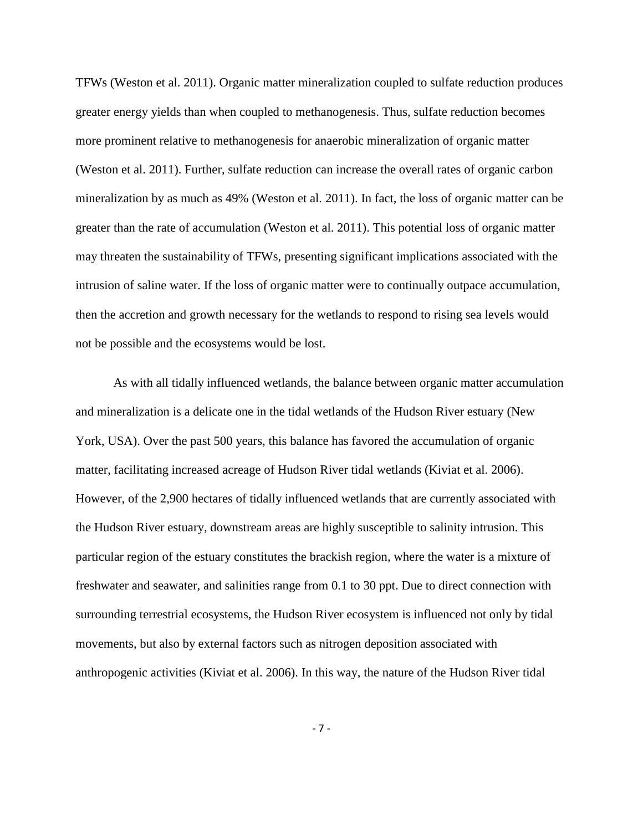TFWs (Weston et al. 2011). Organic matter mineralization coupled to sulfate reduction produces greater energy yields than when coupled to methanogenesis. Thus, sulfate reduction becomes more prominent relative to methanogenesis for anaerobic mineralization of organic matter (Weston et al. 2011). Further, sulfate reduction can increase the overall rates of organic carbon mineralization by as much as 49% (Weston et al. 2011). In fact, the loss of organic matter can be greater than the rate of accumulation (Weston et al. 2011). This potential loss of organic matter may threaten the sustainability of TFWs, presenting significant implications associated with the intrusion of saline water. If the loss of organic matter were to continually outpace accumulation, then the accretion and growth necessary for the wetlands to respond to rising sea levels would not be possible and the ecosystems would be lost.

As with all tidally influenced wetlands, the balance between organic matter accumulation and mineralization is a delicate one in the tidal wetlands of the Hudson River estuary (New York, USA). Over the past 500 years, this balance has favored the accumulation of organic matter, facilitating increased acreage of Hudson River tidal wetlands (Kiviat et al. 2006). However, of the 2,900 hectares of tidally influenced wetlands that are currently associated with the Hudson River estuary, downstream areas are highly susceptible to salinity intrusion. This particular region of the estuary constitutes the brackish region, where the water is a mixture of freshwater and seawater, and salinities range from 0.1 to 30 ppt. Due to direct connection with surrounding terrestrial ecosystems, the Hudson River ecosystem is influenced not only by tidal movements, but also by external factors such as nitrogen deposition associated with anthropogenic activities (Kiviat et al. 2006). In this way, the nature of the Hudson River tidal

- 7 -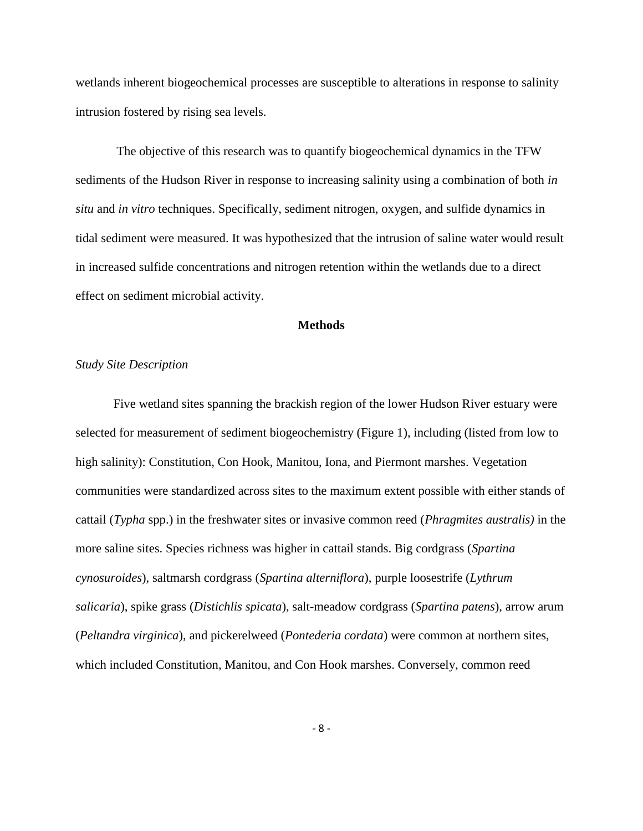wetlands inherent biogeochemical processes are susceptible to alterations in response to salinity intrusion fostered by rising sea levels.

The objective of this research was to quantify biogeochemical dynamics in the TFW sediments of the Hudson River in response to increasing salinity using a combination of both *in situ* and *in vitro* techniques. Specifically, sediment nitrogen, oxygen, and sulfide dynamics in tidal sediment were measured. It was hypothesized that the intrusion of saline water would result in increased sulfide concentrations and nitrogen retention within the wetlands due to a direct effect on sediment microbial activity.

## **Methods**

## *Study Site Description*

Five wetland sites spanning the brackish region of the lower Hudson River estuary were selected for measurement of sediment biogeochemistry (Figure 1), including (listed from low to high salinity): Constitution, Con Hook, Manitou, Iona, and Piermont marshes. Vegetation communities were standardized across sites to the maximum extent possible with either stands of cattail (*Typha* spp.) in the freshwater sites or invasive common reed (*Phragmites australis)* in the more saline sites. Species richness was higher in cattail stands. Big cordgrass (*Spartina cynosuroides*), saltmarsh cordgrass (*Spartina alterniflora*), purple loosestrife (*Lythrum salicaria*), spike grass (*Distichlis spicata*), salt-meadow cordgrass (*Spartina patens*), arrow arum (*Peltandra virginica*), and pickerelweed (*Pontederia cordata*) were common at northern sites, which included Constitution, Manitou, and Con Hook marshes. Conversely, common reed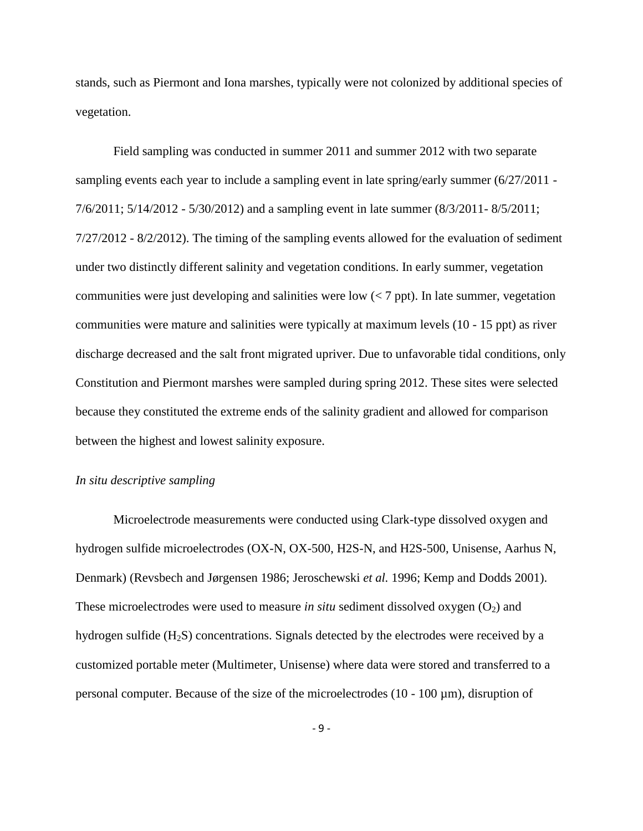stands, such as Piermont and Iona marshes, typically were not colonized by additional species of vegetation.

Field sampling was conducted in summer 2011 and summer 2012 with two separate sampling events each year to include a sampling event in late spring/early summer (6/27/2011 - 7/6/2011; 5/14/2012 - 5/30/2012) and a sampling event in late summer (8/3/2011- 8/5/2011; 7/27/2012 - 8/2/2012). The timing of the sampling events allowed for the evaluation of sediment under two distinctly different salinity and vegetation conditions. In early summer, vegetation communities were just developing and salinities were low  $\langle \langle 7 \rangle$  ppt). In late summer, vegetation communities were mature and salinities were typically at maximum levels (10 - 15 ppt) as river discharge decreased and the salt front migrated upriver. Due to unfavorable tidal conditions, only Constitution and Piermont marshes were sampled during spring 2012. These sites were selected because they constituted the extreme ends of the salinity gradient and allowed for comparison between the highest and lowest salinity exposure.

## *In situ descriptive sampling*

Microelectrode measurements were conducted using Clark-type dissolved oxygen and hydrogen sulfide microelectrodes (OX-N, OX-500, H2S-N, and H2S-500, Unisense, Aarhus N, Denmark) (Revsbech and Jørgensen 1986; Jeroschewski *et al.* 1996; Kemp and Dodds 2001). These microelectrodes were used to measure *in situ* sediment dissolved oxygen  $(O_2)$  and hydrogen sulfide  $(H<sub>2</sub>S)$  concentrations. Signals detected by the electrodes were received by a customized portable meter (Multimeter, Unisense) where data were stored and transferred to a personal computer. Because of the size of the microelectrodes  $(10 - 100 \,\mu m)$ , disruption of

- 9 -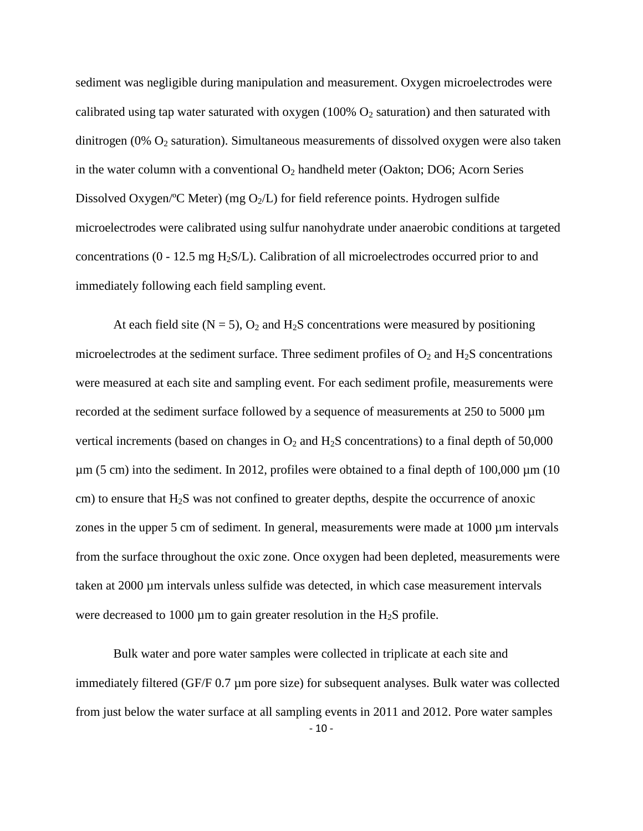sediment was negligible during manipulation and measurement. Oxygen microelectrodes were calibrated using tap water saturated with oxygen (100%  $O_2$  saturation) and then saturated with dinitrogen (0%  $O_2$  saturation). Simultaneous measurements of dissolved oxygen were also taken in the water column with a conventional  $O_2$  handheld meter (Oakton; DO6; Acorn Series Dissolved Oxygen/°C Meter) (mg  $O_2/L$ ) for field reference points. Hydrogen sulfide microelectrodes were calibrated using sulfur nanohydrate under anaerobic conditions at targeted concentrations (0 - 12.5 mg H2S/L). Calibration of all microelectrodes occurred prior to and immediately following each field sampling event.

At each field site ( $N = 5$ ),  $O_2$  and  $H_2S$  concentrations were measured by positioning microelectrodes at the sediment surface. Three sediment profiles of  $O_2$  and  $H_2S$  concentrations were measured at each site and sampling event. For each sediment profile, measurements were recorded at the sediment surface followed by a sequence of measurements at 250 to 5000 µm vertical increments (based on changes in  $O_2$  and  $H_2S$  concentrations) to a final depth of 50,000  $\mu$ m (5 cm) into the sediment. In 2012, profiles were obtained to a final depth of 100,000  $\mu$ m (10) cm) to ensure that  $H_2S$  was not confined to greater depths, despite the occurrence of anoxic zones in the upper 5 cm of sediment. In general, measurements were made at 1000 µm intervals from the surface throughout the oxic zone. Once oxygen had been depleted, measurements were taken at 2000 µm intervals unless sulfide was detected, in which case measurement intervals were decreased to 1000  $\mu$ m to gain greater resolution in the H<sub>2</sub>S profile.

- 10 - Bulk water and pore water samples were collected in triplicate at each site and immediately filtered (GF/F 0.7 µm pore size) for subsequent analyses. Bulk water was collected from just below the water surface at all sampling events in 2011 and 2012. Pore water samples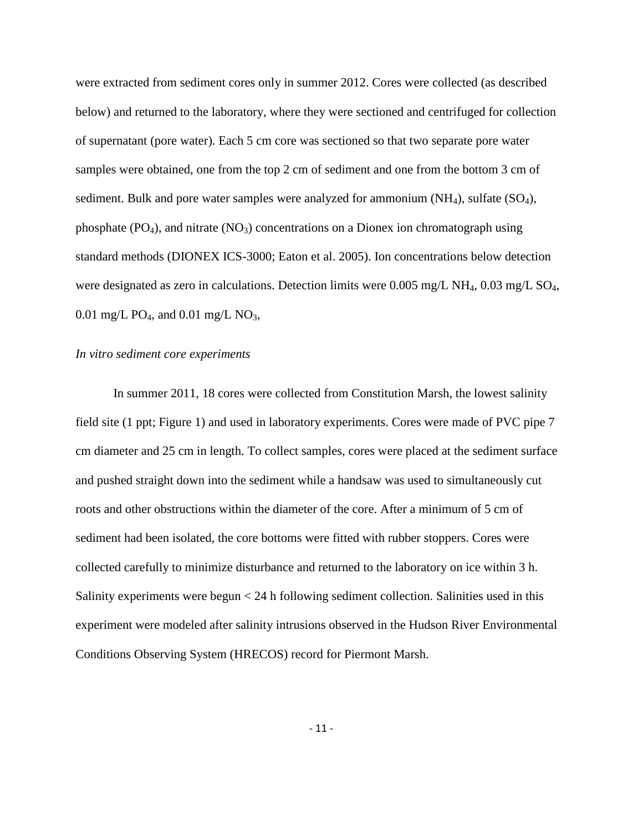were extracted from sediment cores only in summer 2012. Cores were collected (as described below) and returned to the laboratory, where they were sectioned and centrifuged for collection of supernatant (pore water). Each 5 cm core was sectioned so that two separate pore water samples were obtained, one from the top 2 cm of sediment and one from the bottom 3 cm of sediment. Bulk and pore water samples were analyzed for ammonium  $(NH_4)$ , sulfate  $(SO_4)$ , phosphate  $(PO_4)$ , and nitrate  $(NO_3)$  concentrations on a Dionex ion chromatograph using standard methods (DIONEX ICS-3000; Eaton et al. 2005). Ion concentrations below detection were designated as zero in calculations. Detection limits were  $0.005$  mg/L NH<sub>4</sub>,  $0.03$  mg/L SO<sub>4</sub>, 0.01 mg/L PO<sub>4</sub>, and 0.01 mg/L NO<sub>3</sub>,

#### *In vitro sediment core experiments*

In summer 2011, 18 cores were collected from Constitution Marsh, the lowest salinity field site (1 ppt; Figure 1) and used in laboratory experiments. Cores were made of PVC pipe 7 cm diameter and 25 cm in length. To collect samples, cores were placed at the sediment surface and pushed straight down into the sediment while a handsaw was used to simultaneously cut roots and other obstructions within the diameter of the core. After a minimum of 5 cm of sediment had been isolated, the core bottoms were fitted with rubber stoppers. Cores were collected carefully to minimize disturbance and returned to the laboratory on ice within 3 h. Salinity experiments were begun < 24 h following sediment collection. Salinities used in this experiment were modeled after salinity intrusions observed in the Hudson River Environmental Conditions Observing System (HRECOS) record for Piermont Marsh.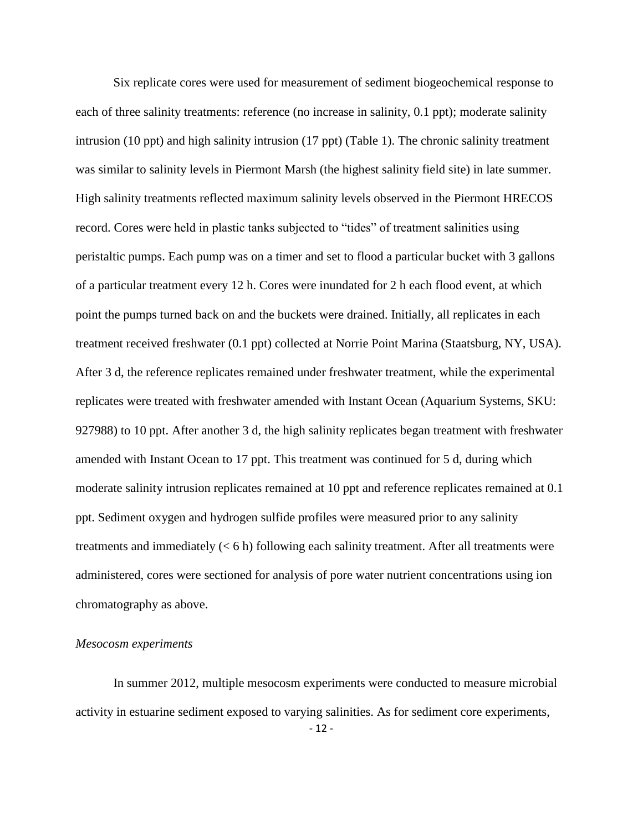Six replicate cores were used for measurement of sediment biogeochemical response to each of three salinity treatments: reference (no increase in salinity, 0.1 ppt); moderate salinity intrusion (10 ppt) and high salinity intrusion (17 ppt) (Table 1). The chronic salinity treatment was similar to salinity levels in Piermont Marsh (the highest salinity field site) in late summer. High salinity treatments reflected maximum salinity levels observed in the Piermont HRECOS record. Cores were held in plastic tanks subjected to "tides" of treatment salinities using peristaltic pumps. Each pump was on a timer and set to flood a particular bucket with 3 gallons of a particular treatment every 12 h. Cores were inundated for 2 h each flood event, at which point the pumps turned back on and the buckets were drained. Initially, all replicates in each treatment received freshwater (0.1 ppt) collected at Norrie Point Marina (Staatsburg, NY, USA). After 3 d, the reference replicates remained under freshwater treatment, while the experimental replicates were treated with freshwater amended with Instant Ocean (Aquarium Systems, SKU: 927988) to 10 ppt. After another 3 d, the high salinity replicates began treatment with freshwater amended with Instant Ocean to 17 ppt. This treatment was continued for 5 d, during which moderate salinity intrusion replicates remained at 10 ppt and reference replicates remained at 0.1 ppt. Sediment oxygen and hydrogen sulfide profiles were measured prior to any salinity treatments and immediately  $(< 6 h)$  following each salinity treatment. After all treatments were administered, cores were sectioned for analysis of pore water nutrient concentrations using ion chromatography as above.

#### *Mesocosm experiments*

- 12 - In summer 2012, multiple mesocosm experiments were conducted to measure microbial activity in estuarine sediment exposed to varying salinities. As for sediment core experiments,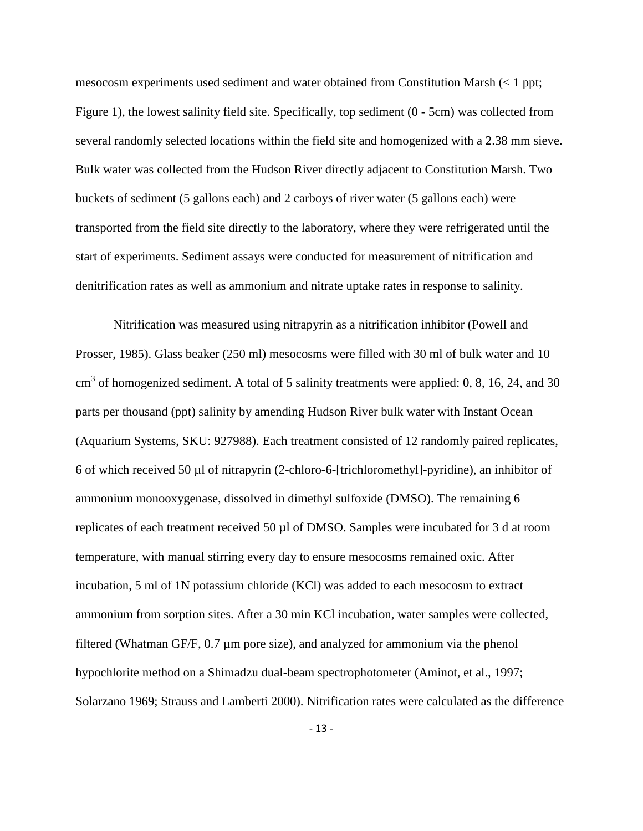mesocosm experiments used sediment and water obtained from Constitution Marsh (< 1 ppt; Figure 1), the lowest salinity field site. Specifically, top sediment (0 - 5cm) was collected from several randomly selected locations within the field site and homogenized with a 2.38 mm sieve. Bulk water was collected from the Hudson River directly adjacent to Constitution Marsh. Two buckets of sediment (5 gallons each) and 2 carboys of river water (5 gallons each) were transported from the field site directly to the laboratory, where they were refrigerated until the start of experiments. Sediment assays were conducted for measurement of nitrification and denitrification rates as well as ammonium and nitrate uptake rates in response to salinity.

Nitrification was measured using nitrapyrin as a nitrification inhibitor (Powell and Prosser, 1985). Glass beaker (250 ml) mesocosms were filled with 30 ml of bulk water and 10  $\text{cm}^3$  of homogenized sediment. A total of 5 salinity treatments were applied: 0, 8, 16, 24, and 30 parts per thousand (ppt) salinity by amending Hudson River bulk water with Instant Ocean (Aquarium Systems, SKU: 927988). Each treatment consisted of 12 randomly paired replicates, 6 of which received 50 µl of nitrapyrin (2-chloro-6-[trichloromethyl]-pyridine), an inhibitor of ammonium monooxygenase, dissolved in dimethyl sulfoxide (DMSO). The remaining 6 replicates of each treatment received 50 µl of DMSO. Samples were incubated for 3 d at room temperature, with manual stirring every day to ensure mesocosms remained oxic. After incubation, 5 ml of 1N potassium chloride (KCl) was added to each mesocosm to extract ammonium from sorption sites. After a 30 min KCl incubation, water samples were collected, filtered (Whatman GF/F, 0.7 µm pore size), and analyzed for ammonium via the phenol hypochlorite method on a Shimadzu dual-beam spectrophotometer (Aminot, et al., 1997; Solarzano 1969; Strauss and Lamberti 2000). Nitrification rates were calculated as the difference

- 13 -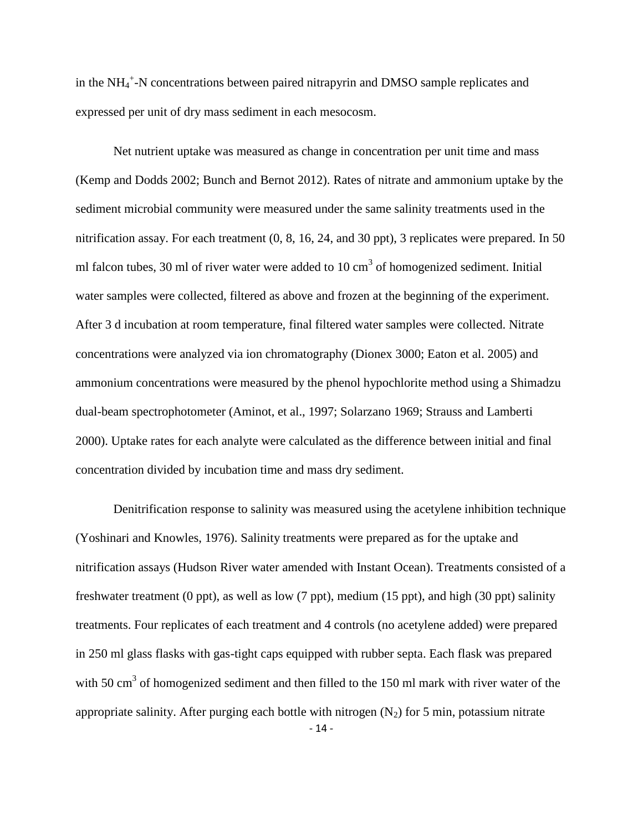in the NH<sub>4</sub><sup>+</sup>-N concentrations between paired nitrapyrin and DMSO sample replicates and expressed per unit of dry mass sediment in each mesocosm.

Net nutrient uptake was measured as change in concentration per unit time and mass (Kemp and Dodds 2002; Bunch and Bernot 2012). Rates of nitrate and ammonium uptake by the sediment microbial community were measured under the same salinity treatments used in the nitrification assay. For each treatment (0, 8, 16, 24, and 30 ppt), 3 replicates were prepared. In 50 ml falcon tubes, 30 ml of river water were added to 10  $\text{cm}^3$  of homogenized sediment. Initial water samples were collected, filtered as above and frozen at the beginning of the experiment. After 3 d incubation at room temperature, final filtered water samples were collected. Nitrate concentrations were analyzed via ion chromatography (Dionex 3000; Eaton et al. 2005) and ammonium concentrations were measured by the phenol hypochlorite method using a Shimadzu dual-beam spectrophotometer (Aminot, et al., 1997; Solarzano 1969; Strauss and Lamberti 2000). Uptake rates for each analyte were calculated as the difference between initial and final concentration divided by incubation time and mass dry sediment.

- 14 - Denitrification response to salinity was measured using the acetylene inhibition technique (Yoshinari and Knowles, 1976). Salinity treatments were prepared as for the uptake and nitrification assays (Hudson River water amended with Instant Ocean). Treatments consisted of a freshwater treatment (0 ppt), as well as low (7 ppt), medium (15 ppt), and high (30 ppt) salinity treatments. Four replicates of each treatment and 4 controls (no acetylene added) were prepared in 250 ml glass flasks with gas-tight caps equipped with rubber septa. Each flask was prepared with 50 cm<sup>3</sup> of homogenized sediment and then filled to the 150 ml mark with river water of the appropriate salinity. After purging each bottle with nitrogen  $(N_2)$  for 5 min, potassium nitrate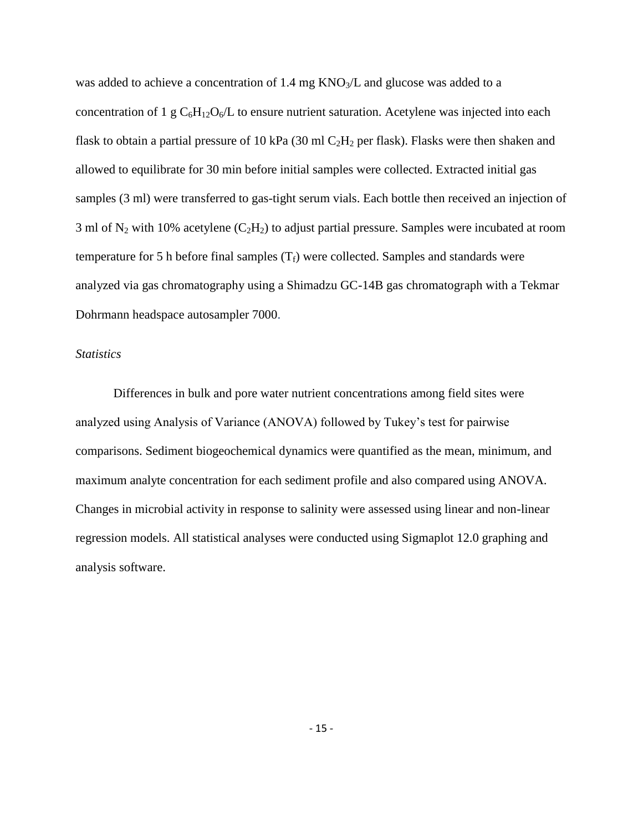was added to achieve a concentration of  $1.4 \text{ mg KNO}_3/\text{L}$  and glucose was added to a concentration of 1 g  $C_6H_{12}O_6/L$  to ensure nutrient saturation. Acetylene was injected into each flask to obtain a partial pressure of 10 kPa (30 ml  $C_2H_2$  per flask). Flasks were then shaken and allowed to equilibrate for 30 min before initial samples were collected. Extracted initial gas samples (3 ml) were transferred to gas-tight serum vials. Each bottle then received an injection of 3 ml of  $N_2$  with 10% acetylene (C<sub>2</sub>H<sub>2</sub>) to adjust partial pressure. Samples were incubated at room temperature for 5 h before final samples  $(T_f)$  were collected. Samples and standards were analyzed via gas chromatography using a Shimadzu GC-14B gas chromatograph with a Tekmar Dohrmann headspace autosampler 7000.

## *Statistics*

Differences in bulk and pore water nutrient concentrations among field sites were analyzed using Analysis of Variance (ANOVA) followed by Tukey's test for pairwise comparisons. Sediment biogeochemical dynamics were quantified as the mean, minimum, and maximum analyte concentration for each sediment profile and also compared using ANOVA. Changes in microbial activity in response to salinity were assessed using linear and non-linear regression models. All statistical analyses were conducted using Sigmaplot 12.0 graphing and analysis software.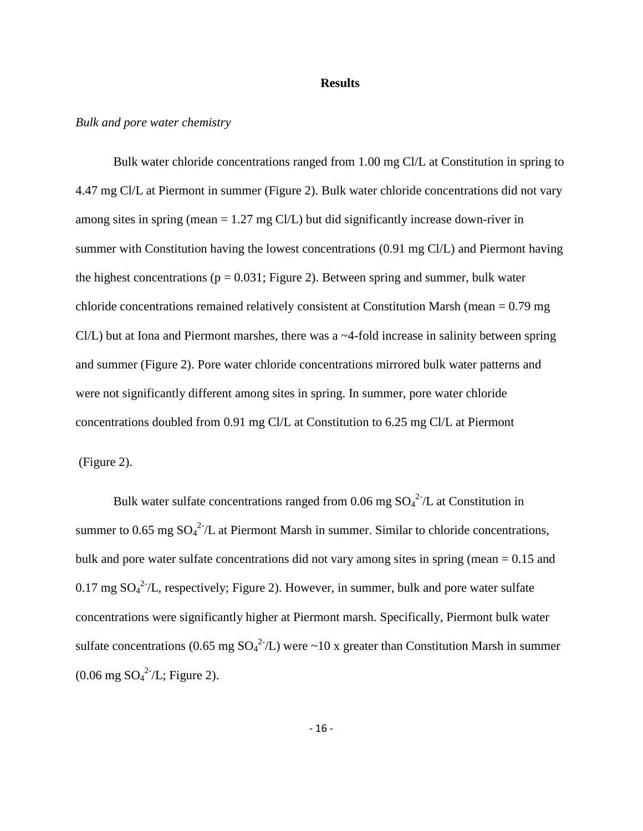#### **Results**

#### *Bulk and pore water chemistry*

Bulk water chloride concentrations ranged from 1.00 mg Cl/L at Constitution in spring to 4.47 mg Cl/L at Piermont in summer (Figure 2). Bulk water chloride concentrations did not vary among sites in spring (mean = 1.27 mg Cl/L) but did significantly increase down-river in summer with Constitution having the lowest concentrations (0.91 mg Cl/L) and Piermont having the highest concentrations ( $p = 0.031$ ; Figure 2). Between spring and summer, bulk water chloride concentrations remained relatively consistent at Constitution Marsh (mean = 0.79 mg Cl/L) but at Iona and Piermont marshes, there was a ~4-fold increase in salinity between spring and summer (Figure 2). Pore water chloride concentrations mirrored bulk water patterns and were not significantly different among sites in spring. In summer, pore water chloride concentrations doubled from 0.91 mg Cl/L at Constitution to 6.25 mg Cl/L at Piermont (Figure 2).

Bulk water sulfate concentrations ranged from 0.06 mg  $SO_4^2/L$  at Constitution in summer to 0.65 mg  $SO_4^2/L$  at Piermont Marsh in summer. Similar to chloride concentrations, bulk and pore water sulfate concentrations did not vary among sites in spring (mean = 0.15 and 0.17 mg  $SO_4^2/L$ , respectively; Figure 2). However, in summer, bulk and pore water sulfate concentrations were significantly higher at Piermont marsh. Specifically, Piermont bulk water sulfate concentrations (0.65 mg  $SO_4^2/L$ ) were ~10 x greater than Constitution Marsh in summer  $(0.06 \text{ mg } SO_4^2/L; \text{ Figure 2}).$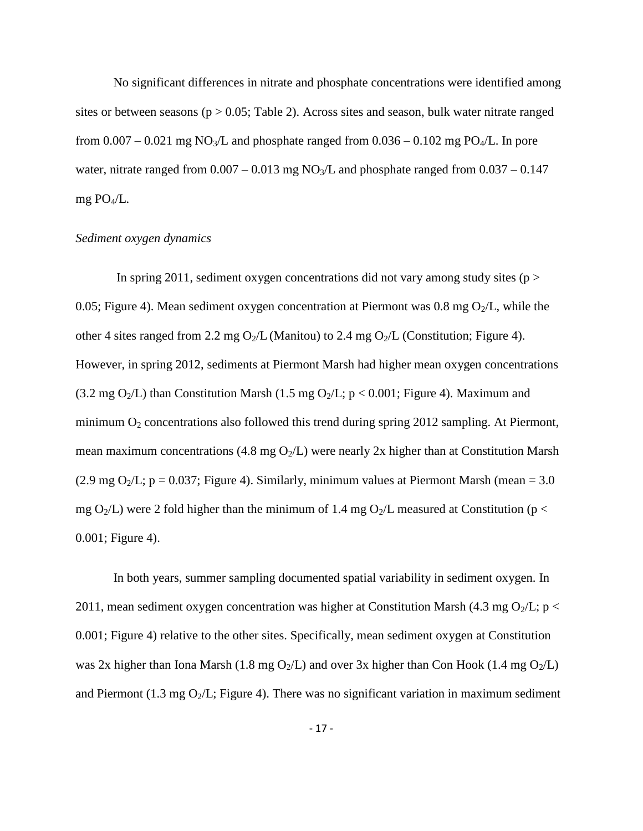No significant differences in nitrate and phosphate concentrations were identified among sites or between seasons ( $p > 0.05$ ; Table 2). Across sites and season, bulk water nitrate ranged from  $0.007 - 0.021$  mg NO<sub>3</sub>/L and phosphate ranged from  $0.036 - 0.102$  mg PO<sub>4</sub>/L. In pore water, nitrate ranged from  $0.007 - 0.013$  mg NO<sub>3</sub>/L and phosphate ranged from  $0.037 - 0.147$ mg PO4/L.

## *Sediment oxygen dynamics*

In spring 2011, sediment oxygen concentrations did not vary among study sites ( $p >$ 0.05; Figure 4). Mean sediment oxygen concentration at Piermont was  $0.8 \text{ mg } O_2/L$ , while the other 4 sites ranged from 2.2 mg  $O_2/L$  (Manitou) to 2.4 mg  $O_2/L$  (Constitution; Figure 4). However, in spring 2012, sediments at Piermont Marsh had higher mean oxygen concentrations (3.2 mg O<sub>2</sub>/L) than Constitution Marsh (1.5 mg O<sub>2</sub>/L;  $p < 0.001$ ; Figure 4). Maximum and minimum  $O_2$  concentrations also followed this trend during spring 2012 sampling. At Piermont, mean maximum concentrations (4.8 mg  $O_2/L$ ) were nearly 2x higher than at Constitution Marsh (2.9 mg O<sub>2</sub>/L; p = 0.037; Figure 4). Similarly, minimum values at Piermont Marsh (mean = 3.0) mg  $O_2/L$ ) were 2 fold higher than the minimum of 1.4 mg  $O_2/L$  measured at Constitution (p < 0.001; Figure 4).

In both years, summer sampling documented spatial variability in sediment oxygen. In 2011, mean sediment oxygen concentration was higher at Constitution Marsh (4.3 mg O<sub>2</sub>/L; p < 0.001; Figure 4) relative to the other sites. Specifically, mean sediment oxygen at Constitution was 2x higher than Iona Marsh (1.8 mg  $O_2/L$ ) and over 3x higher than Con Hook (1.4 mg  $O_2/L$ ) and Piermont (1.3 mg  $O_2/L$ ; Figure 4). There was no significant variation in maximum sediment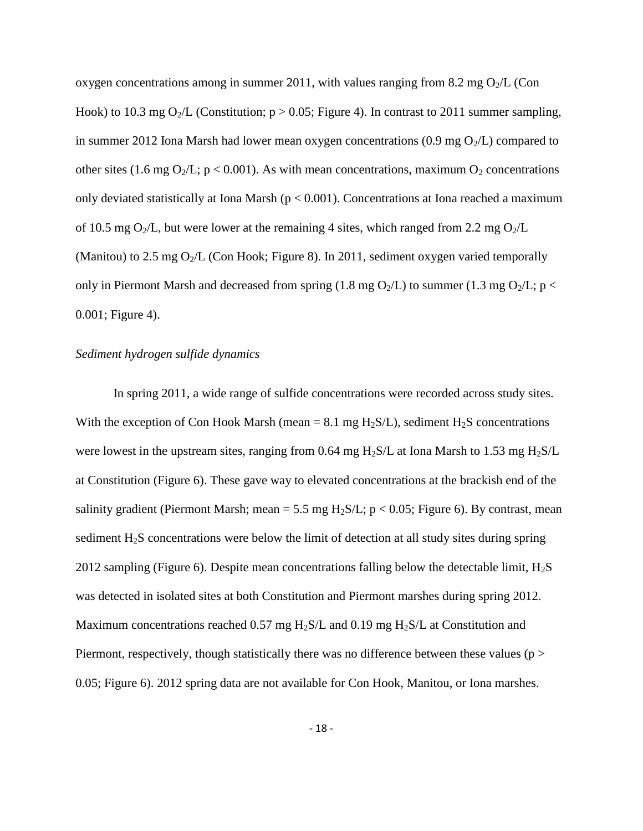oxygen concentrations among in summer 2011, with values ranging from 8.2 mg  $O_2/L$  (Con Hook) to 10.3 mg O<sub>2</sub>/L (Constitution;  $p > 0.05$ ; Figure 4). In contrast to 2011 summer sampling, in summer 2012 Iona Marsh had lower mean oxygen concentrations  $(0.9 \text{ mg } \text{O}_2/\text{L})$  compared to other sites (1.6 mg  $O_2/L$ ; p < 0.001). As with mean concentrations, maximum  $O_2$  concentrations only deviated statistically at Iona Marsh ( $p < 0.001$ ). Concentrations at Iona reached a maximum of 10.5 mg  $O_2/L$ , but were lower at the remaining 4 sites, which ranged from 2.2 mg  $O_2/L$ (Manitou) to 2.5 mg  $O_2/L$  (Con Hook; Figure 8). In 2011, sediment oxygen varied temporally only in Piermont Marsh and decreased from spring (1.8 mg  $O_2/L$ ) to summer (1.3 mg  $O_2/L$ ; p < 0.001; Figure 4).

#### *Sediment hydrogen sulfide dynamics*

In spring 2011, a wide range of sulfide concentrations were recorded across study sites. With the exception of Con Hook Marsh (mean = 8.1 mg H<sub>2</sub>S/L), sediment H<sub>2</sub>S concentrations were lowest in the upstream sites, ranging from 0.64 mg  $H_2S/L$  at Iona Marsh to 1.53 mg  $H_2S/L$ at Constitution (Figure 6). These gave way to elevated concentrations at the brackish end of the salinity gradient (Piermont Marsh; mean = 5.5 mg  $H_2S/L$ ; p < 0.05; Figure 6). By contrast, mean sediment  $H_2S$  concentrations were below the limit of detection at all study sites during spring 2012 sampling (Figure 6). Despite mean concentrations falling below the detectable limit,  $H_2S$ was detected in isolated sites at both Constitution and Piermont marshes during spring 2012. Maximum concentrations reached 0.57 mg  $H_2S/L$  and 0.19 mg  $H_2S/L$  at Constitution and Piermont, respectively, though statistically there was no difference between these values ( $p >$ 0.05; Figure 6). 2012 spring data are not available for Con Hook, Manitou, or Iona marshes.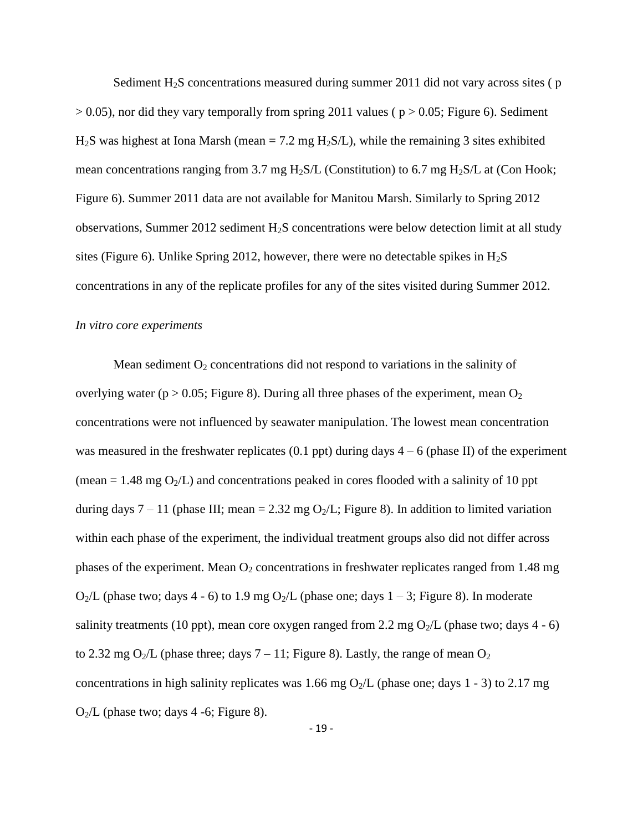Sediment  $H<sub>2</sub>S$  concentrations measured during summer 2011 did not vary across sites ( $p$ )  $> 0.05$ ), nor did they vary temporally from spring 2011 values ( $p > 0.05$ ; Figure 6). Sediment  $H<sub>2</sub>S$  was highest at Iona Marsh (mean = 7.2 mg  $H<sub>2</sub>S/L$ ), while the remaining 3 sites exhibited mean concentrations ranging from 3.7 mg  $H_2S/L$  (Constitution) to 6.7 mg  $H_2S/L$  at (Con Hook; Figure 6). Summer 2011 data are not available for Manitou Marsh. Similarly to Spring 2012 observations, Summer 2012 sediment  $H_2S$  concentrations were below detection limit at all study sites (Figure 6). Unlike Spring 2012, however, there were no detectable spikes in  $H_2S$ concentrations in any of the replicate profiles for any of the sites visited during Summer 2012.

#### *In vitro core experiments*

Mean sediment  $O_2$  concentrations did not respond to variations in the salinity of overlying water ( $p > 0.05$ ; Figure 8). During all three phases of the experiment, mean  $O_2$ concentrations were not influenced by seawater manipulation. The lowest mean concentration was measured in the freshwater replicates (0.1 ppt) during days  $4 - 6$  (phase II) of the experiment (mean  $= 1.48$  mg O<sub>2</sub>/L) and concentrations peaked in cores flooded with a salinity of 10 ppt during days  $7 - 11$  (phase III; mean = 2.32 mg O<sub>2</sub>/L; Figure 8). In addition to limited variation within each phase of the experiment, the individual treatment groups also did not differ across phases of the experiment. Mean  $O_2$  concentrations in freshwater replicates ranged from 1.48 mg  $O_2/L$  (phase two; days 4 - 6) to 1.9 mg  $O_2/L$  (phase one; days 1 – 3; Figure 8). In moderate salinity treatments (10 ppt), mean core oxygen ranged from 2.2 mg  $O_2/L$  (phase two; days 4 - 6) to 2.32 mg O<sub>2</sub>/L (phase three; days  $7 - 11$ ; Figure 8). Lastly, the range of mean O<sub>2</sub> concentrations in high salinity replicates was 1.66 mg  $O_2/L$  (phase one; days 1 - 3) to 2.17 mg  $O_2/L$  (phase two; days 4 -6; Figure 8).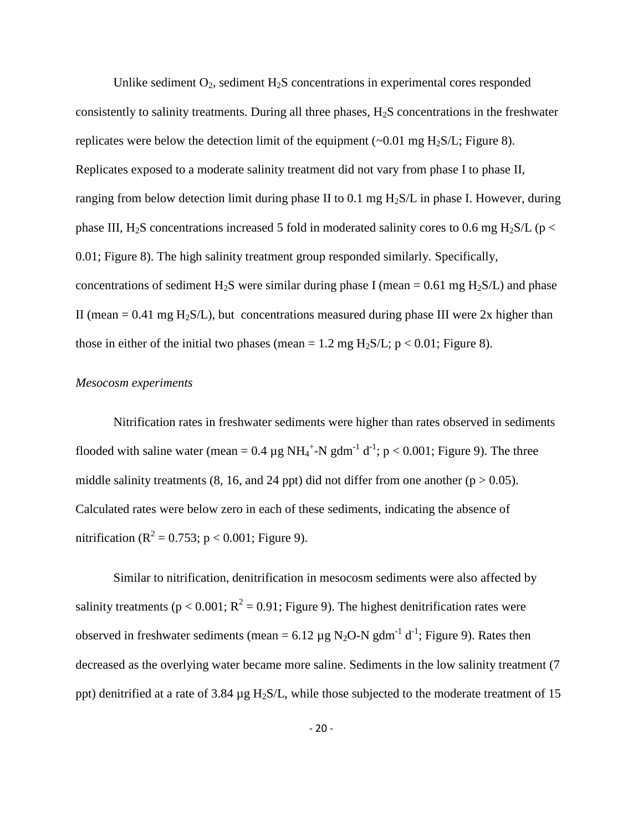Unlike sediment  $O_2$ , sediment  $H_2S$  concentrations in experimental cores responded consistently to salinity treatments. During all three phases,  $H_2S$  concentrations in the freshwater replicates were below the detection limit of the equipment  $(\sim 0.01 \text{ mg } H_2\text{S/L}; \text{Figure 8}).$ Replicates exposed to a moderate salinity treatment did not vary from phase I to phase II, ranging from below detection limit during phase II to 0.1 mg  $H_2S/L$  in phase I. However, during phase III, H<sub>2</sub>S concentrations increased 5 fold in moderated salinity cores to 0.6 mg H<sub>2</sub>S/L (p < 0.01; Figure 8). The high salinity treatment group responded similarly. Specifically, concentrations of sediment H<sub>2</sub>S were similar during phase I (mean =  $0.61$  mg H<sub>2</sub>S/L) and phase II (mean =  $0.41$  mg H<sub>2</sub>S/L), but concentrations measured during phase III were 2x higher than those in either of the initial two phases (mean = 1.2 mg  $H_2S/L$ ; p < 0.01; Figure 8).

## *Mesocosm experiments*

Nitrification rates in freshwater sediments were higher than rates observed in sediments flooded with saline water (mean =  $0.4 \mu g NH_4^+$ -N gdm<sup>-1</sup> d<sup>-1</sup>; p < 0.001; Figure 9). The three middle salinity treatments (8, 16, and 24 ppt) did not differ from one another ( $p > 0.05$ ). Calculated rates were below zero in each of these sediments, indicating the absence of nitrification ( $R^2 = 0.753$ ; p < 0.001; Figure 9).

Similar to nitrification, denitrification in mesocosm sediments were also affected by salinity treatments ( $p < 0.001$ ;  $R^2 = 0.91$ ; Figure 9). The highest denitrification rates were observed in freshwater sediments (mean =  $6.12 \mu g N_2O-N gdm^{-1} d^{-1}$ ; Figure 9). Rates then decreased as the overlying water became more saline. Sediments in the low salinity treatment (7 ppt) denitrified at a rate of 3.84  $\mu$ g H<sub>2</sub>S/L, while those subjected to the moderate treatment of 15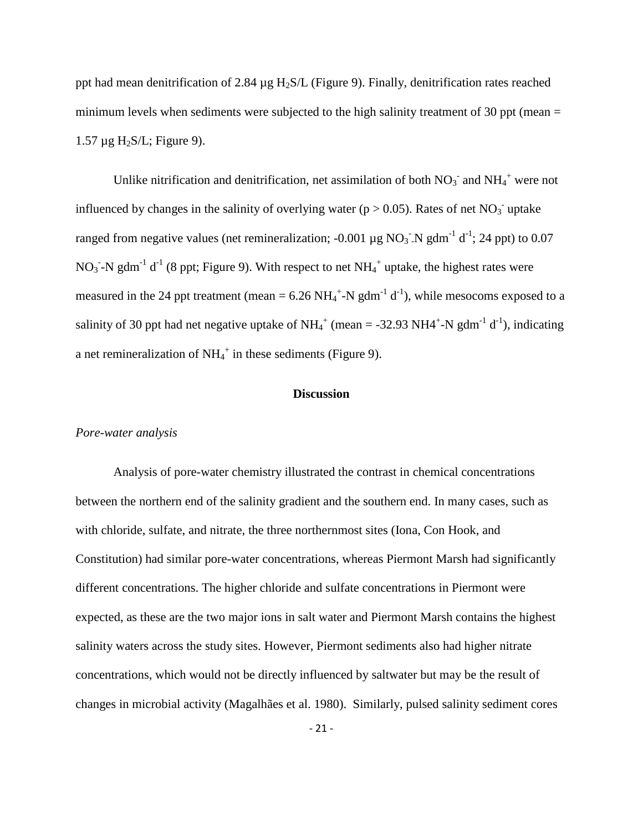ppt had mean denitrification of 2.84  $\mu$ g H<sub>2</sub>S/L (Figure 9). Finally, denitrification rates reached minimum levels when sediments were subjected to the high salinity treatment of 30 ppt (mean  $=$  $1.57 \mu$ g H<sub>2</sub>S/L; Figure 9).

Unlike nitrification and denitrification, net assimilation of both  $NO_3^-$  and  $NH_4^+$  were not influenced by changes in the salinity of overlying water ( $p > 0.05$ ). Rates of net NO<sub>3</sub> uptake ranged from negative values (net remineralization; -0.001  $\mu$ g NO<sub>3</sub><sup>-</sup>N gdm<sup>-1</sup> d<sup>-1</sup>; 24 ppt) to 0.07 NO<sub>3</sub> -N gdm<sup>-1</sup> d<sup>-1</sup> (8 ppt; Figure 9). With respect to net NH<sub>4</sub><sup>+</sup> uptake, the highest rates were measured in the 24 ppt treatment (mean =  $6.26 \text{ NH}_4^+$ -N gdm<sup>-1</sup> d<sup>-1</sup>), while mesocoms exposed to a salinity of 30 ppt had net negative uptake of  $NH_4^+$  (mean = -32.93 NH4<sup>+</sup>-N gdm<sup>-1</sup> d<sup>-1</sup>), indicating a net remineralization of  $NH_4^+$  in these sediments (Figure 9).

## **Discussion**

#### *Pore-water analysis*

Analysis of pore-water chemistry illustrated the contrast in chemical concentrations between the northern end of the salinity gradient and the southern end. In many cases, such as with chloride, sulfate, and nitrate, the three northernmost sites (Iona, Con Hook, and Constitution) had similar pore-water concentrations, whereas Piermont Marsh had significantly different concentrations. The higher chloride and sulfate concentrations in Piermont were expected, as these are the two major ions in salt water and Piermont Marsh contains the highest salinity waters across the study sites. However, Piermont sediments also had higher nitrate concentrations, which would not be directly influenced by saltwater but may be the result of changes in microbial activity (Magalhães et al. 1980). Similarly, pulsed salinity sediment cores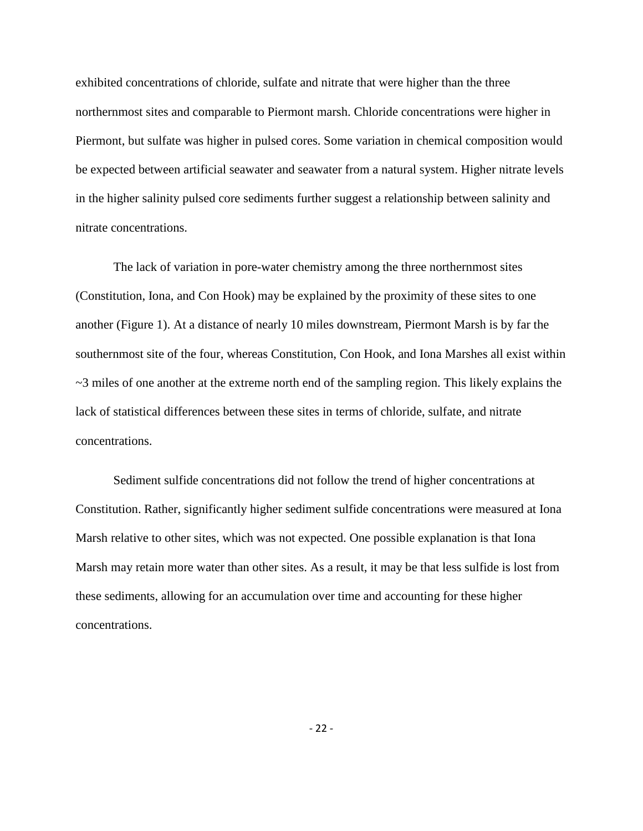exhibited concentrations of chloride, sulfate and nitrate that were higher than the three northernmost sites and comparable to Piermont marsh. Chloride concentrations were higher in Piermont, but sulfate was higher in pulsed cores. Some variation in chemical composition would be expected between artificial seawater and seawater from a natural system. Higher nitrate levels in the higher salinity pulsed core sediments further suggest a relationship between salinity and nitrate concentrations.

The lack of variation in pore-water chemistry among the three northernmost sites (Constitution, Iona, and Con Hook) may be explained by the proximity of these sites to one another (Figure 1). At a distance of nearly 10 miles downstream, Piermont Marsh is by far the southernmost site of the four, whereas Constitution, Con Hook, and Iona Marshes all exist within  $\sim$ 3 miles of one another at the extreme north end of the sampling region. This likely explains the lack of statistical differences between these sites in terms of chloride, sulfate, and nitrate concentrations.

Sediment sulfide concentrations did not follow the trend of higher concentrations at Constitution. Rather, significantly higher sediment sulfide concentrations were measured at Iona Marsh relative to other sites, which was not expected. One possible explanation is that Iona Marsh may retain more water than other sites. As a result, it may be that less sulfide is lost from these sediments, allowing for an accumulation over time and accounting for these higher concentrations.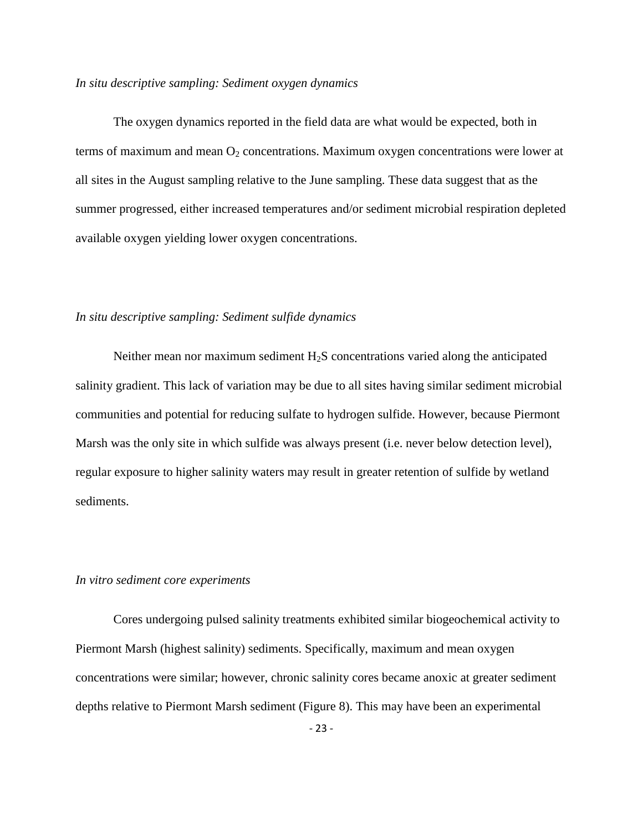### *In situ descriptive sampling: Sediment oxygen dynamics*

The oxygen dynamics reported in the field data are what would be expected, both in terms of maximum and mean  $O_2$  concentrations. Maximum oxygen concentrations were lower at all sites in the August sampling relative to the June sampling. These data suggest that as the summer progressed, either increased temperatures and/or sediment microbial respiration depleted available oxygen yielding lower oxygen concentrations.

## *In situ descriptive sampling: Sediment sulfide dynamics*

Neither mean nor maximum sediment  $H_2S$  concentrations varied along the anticipated salinity gradient. This lack of variation may be due to all sites having similar sediment microbial communities and potential for reducing sulfate to hydrogen sulfide. However, because Piermont Marsh was the only site in which sulfide was always present (i.e. never below detection level), regular exposure to higher salinity waters may result in greater retention of sulfide by wetland sediments.

#### *In vitro sediment core experiments*

Cores undergoing pulsed salinity treatments exhibited similar biogeochemical activity to Piermont Marsh (highest salinity) sediments. Specifically, maximum and mean oxygen concentrations were similar; however, chronic salinity cores became anoxic at greater sediment depths relative to Piermont Marsh sediment (Figure 8). This may have been an experimental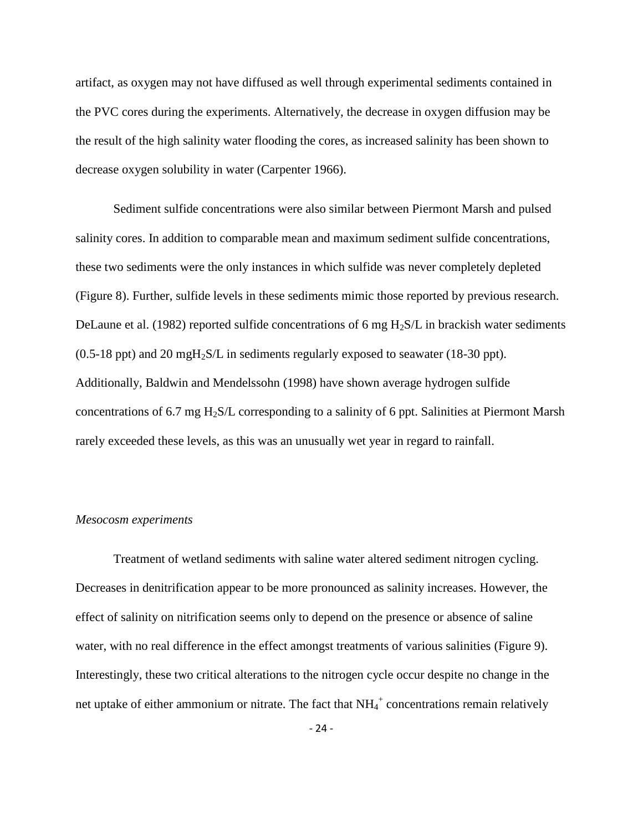artifact, as oxygen may not have diffused as well through experimental sediments contained in the PVC cores during the experiments. Alternatively, the decrease in oxygen diffusion may be the result of the high salinity water flooding the cores, as increased salinity has been shown to decrease oxygen solubility in water (Carpenter 1966).

Sediment sulfide concentrations were also similar between Piermont Marsh and pulsed salinity cores. In addition to comparable mean and maximum sediment sulfide concentrations, these two sediments were the only instances in which sulfide was never completely depleted (Figure 8). Further, sulfide levels in these sediments mimic those reported by previous research. DeLaune et al. (1982) reported sulfide concentrations of 6 mg  $H_2S/L$  in brackish water sediments  $(0.5-18 \text{ ppt})$  and 20 mgH<sub>2</sub>S/L in sediments regularly exposed to seawater (18-30 ppt). Additionally, Baldwin and Mendelssohn (1998) have shown average hydrogen sulfide concentrations of 6.7 mg H2S/L corresponding to a salinity of 6 ppt. Salinities at Piermont Marsh rarely exceeded these levels, as this was an unusually wet year in regard to rainfall.

#### *Mesocosm experiments*

Treatment of wetland sediments with saline water altered sediment nitrogen cycling. Decreases in denitrification appear to be more pronounced as salinity increases. However, the effect of salinity on nitrification seems only to depend on the presence or absence of saline water, with no real difference in the effect amongst treatments of various salinities (Figure 9). Interestingly, these two critical alterations to the nitrogen cycle occur despite no change in the net uptake of either ammonium or nitrate. The fact that  $NH_4^+$  concentrations remain relatively

- 24 -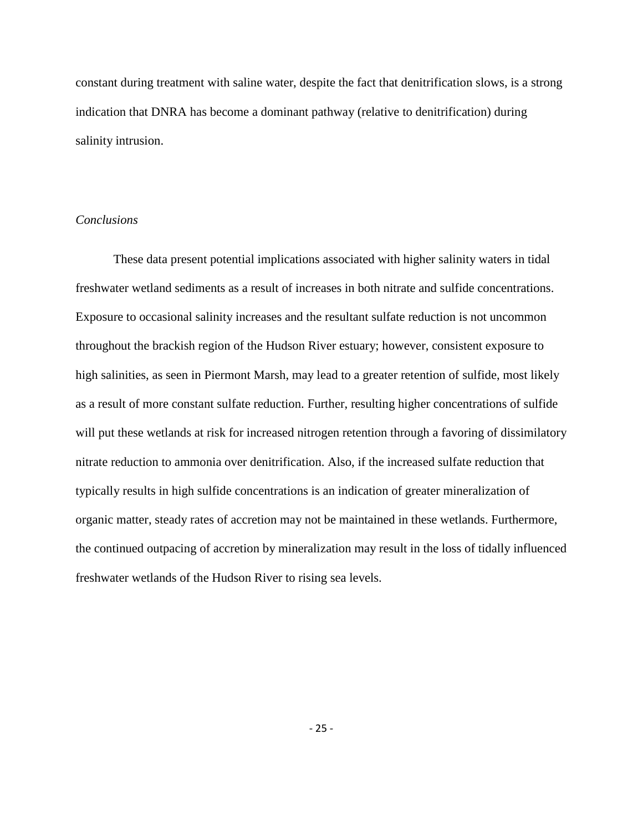constant during treatment with saline water, despite the fact that denitrification slows, is a strong indication that DNRA has become a dominant pathway (relative to denitrification) during salinity intrusion.

## *Conclusions*

These data present potential implications associated with higher salinity waters in tidal freshwater wetland sediments as a result of increases in both nitrate and sulfide concentrations. Exposure to occasional salinity increases and the resultant sulfate reduction is not uncommon throughout the brackish region of the Hudson River estuary; however, consistent exposure to high salinities, as seen in Piermont Marsh, may lead to a greater retention of sulfide, most likely as a result of more constant sulfate reduction. Further, resulting higher concentrations of sulfide will put these wetlands at risk for increased nitrogen retention through a favoring of dissimilatory nitrate reduction to ammonia over denitrification. Also, if the increased sulfate reduction that typically results in high sulfide concentrations is an indication of greater mineralization of organic matter, steady rates of accretion may not be maintained in these wetlands. Furthermore, the continued outpacing of accretion by mineralization may result in the loss of tidally influenced freshwater wetlands of the Hudson River to rising sea levels.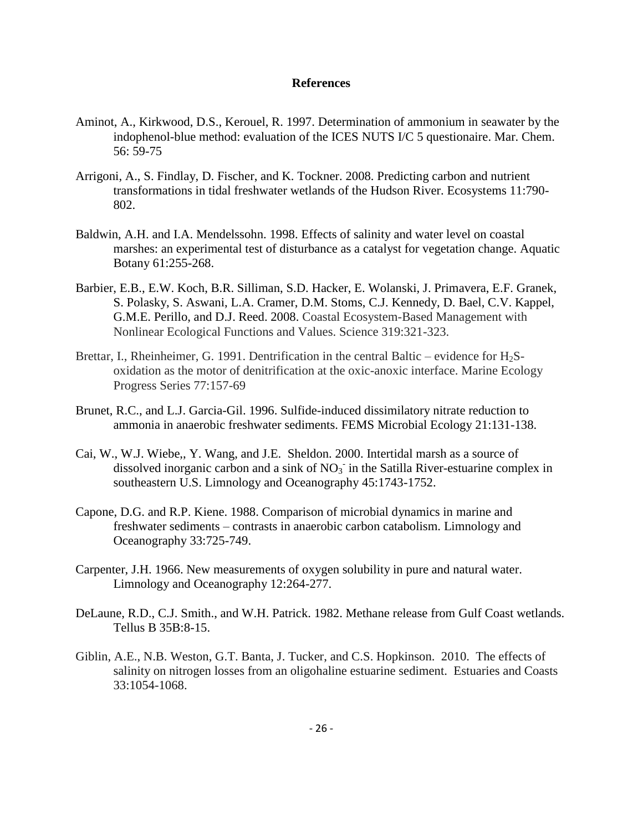#### **References**

- Aminot, A., Kirkwood, D.S., Kerouel, R. 1997. Determination of ammonium in seawater by the indophenol-blue method: evaluation of the ICES NUTS I/C 5 questionaire. Mar. Chem. 56: 59-75
- Arrigoni, A., S. Findlay, D. Fischer, and K. Tockner. 2008. Predicting carbon and nutrient transformations in tidal freshwater wetlands of the Hudson River. Ecosystems 11:790- 802.
- Baldwin, A.H. and I.A. Mendelssohn. 1998. Effects of salinity and water level on coastal marshes: an experimental test of disturbance as a catalyst for vegetation change. Aquatic Botany 61:255-268.
- Barbier, E.B., E.W. Koch, B.R. Silliman, S.D. Hacker, E. Wolanski, J. Primavera, E.F. Granek, S. Polasky, S. Aswani, L.A. Cramer, D.M. Stoms, C.J. Kennedy, D. Bael, C.V. Kappel, G.M.E. Perillo, and D.J. Reed. 2008. Coastal Ecosystem-Based Management with Nonlinear Ecological Functions and Values. Science 319:321-323.
- Brettar, I., Rheinheimer, G. 1991. Dentrification in the central Baltic evidence for  $H_2S$ oxidation as the motor of denitrification at the oxic-anoxic interface. Marine Ecology Progress Series 77:157-69
- Brunet, R.C., and L.J. Garcia-Gil. 1996. Sulfide-induced dissimilatory nitrate reduction to ammonia in anaerobic freshwater sediments. FEMS Microbial Ecology 21:131-138.
- Cai, W., W.J. Wiebe,, Y. Wang, and J.E. Sheldon. 2000. Intertidal marsh as a source of dissolved inorganic carbon and a sink of  $NO<sub>3</sub>$  in the Satilla River-estuarine complex in southeastern U.S. Limnology and Oceanography 45:1743-1752.
- Capone, D.G. and R.P. Kiene. 1988. Comparison of microbial dynamics in marine and freshwater sediments – contrasts in anaerobic carbon catabolism. Limnology and Oceanography 33:725-749.
- Carpenter, J.H. 1966. New measurements of oxygen solubility in pure and natural water. Limnology and Oceanography 12:264-277.
- DeLaune, R.D., C.J. Smith., and W.H. Patrick. 1982. Methane release from Gulf Coast wetlands. Tellus B 35B:8-15.
- Giblin, A.E., N.B. Weston, G.T. Banta, J. Tucker, and C.S. Hopkinson. 2010. The effects of salinity on nitrogen losses from an oligohaline estuarine sediment. Estuaries and Coasts 33:1054-1068.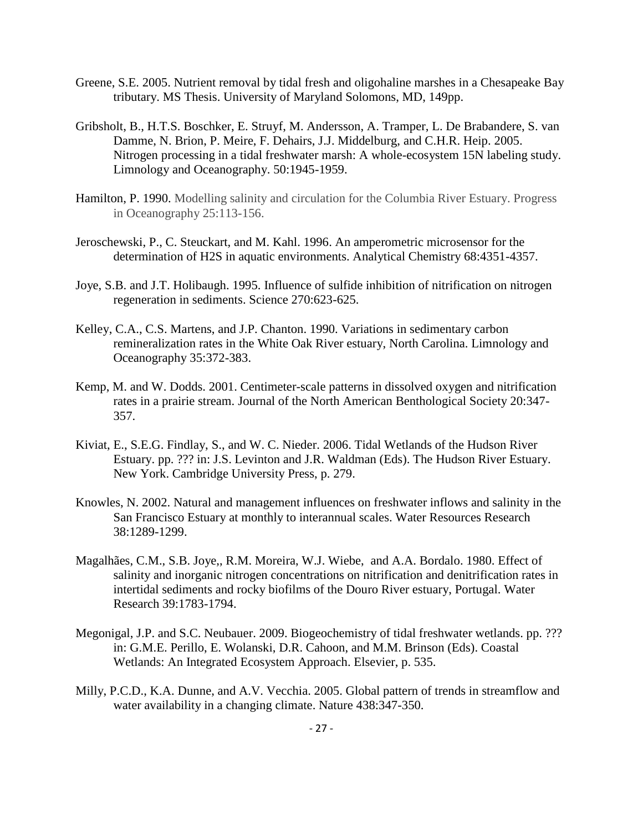- Greene, S.E. 2005. Nutrient removal by tidal fresh and oligohaline marshes in a Chesapeake Bay tributary. MS Thesis. University of Maryland Solomons, MD, 149pp.
- Gribsholt, B., H.T.S. Boschker, E. Struyf, M. Andersson, A. Tramper, L. De Brabandere, S. van Damme, N. Brion, P. Meire, F. Dehairs, J.J. Middelburg, and C.H.R. Heip. 2005. Nitrogen processing in a tidal freshwater marsh: A whole-ecosystem 15N labeling study. Limnology and Oceanography. 50:1945-1959.
- Hamilton, P. 1990. Modelling salinity and circulation for the Columbia River Estuary. Progress in Oceanography 25:113-156.
- Jeroschewski, P., C. Steuckart, and M. Kahl. 1996. An amperometric microsensor for the determination of H2S in aquatic environments. Analytical Chemistry 68:4351-4357.
- Joye, S.B. and J.T. Holibaugh. 1995. Influence of sulfide inhibition of nitrification on nitrogen regeneration in sediments. Science 270:623-625.
- Kelley, C.A., C.S. Martens, and J.P. Chanton. 1990. Variations in sedimentary carbon remineralization rates in the White Oak River estuary, North Carolina. Limnology and Oceanography 35:372-383.
- Kemp, M. and W. Dodds. 2001. Centimeter-scale patterns in dissolved oxygen and nitrification rates in a prairie stream. Journal of the North American Benthological Society 20:347- 357.
- Kiviat, E., S.E.G. Findlay, S., and W. C. Nieder. 2006. Tidal Wetlands of the Hudson River Estuary. pp. ??? in: J.S. Levinton and J.R. Waldman (Eds). The Hudson River Estuary. New York. Cambridge University Press, p. 279.
- Knowles, N. 2002. Natural and management influences on freshwater inflows and salinity in the San Francisco Estuary at monthly to interannual scales. Water Resources Research 38:1289-1299.
- Magalhães, C.M., S.B. Joye,, R.M. Moreira, W.J. Wiebe, and A.A. Bordalo. 1980. Effect of salinity and inorganic nitrogen concentrations on nitrification and denitrification rates in intertidal sediments and rocky biofilms of the Douro River estuary, Portugal. Water Research 39:1783-1794.
- Megonigal, J.P. and S.C. Neubauer. 2009. Biogeochemistry of tidal freshwater wetlands. pp. ??? in: G.M.E. Perillo, E. Wolanski, D.R. Cahoon, and M.M. Brinson (Eds). Coastal Wetlands: An Integrated Ecosystem Approach. Elsevier, p. 535.
- Milly, P.C.D., K.A. Dunne, and A.V. Vecchia. 2005. Global pattern of trends in streamflow and water availability in a changing climate. Nature 438:347-350.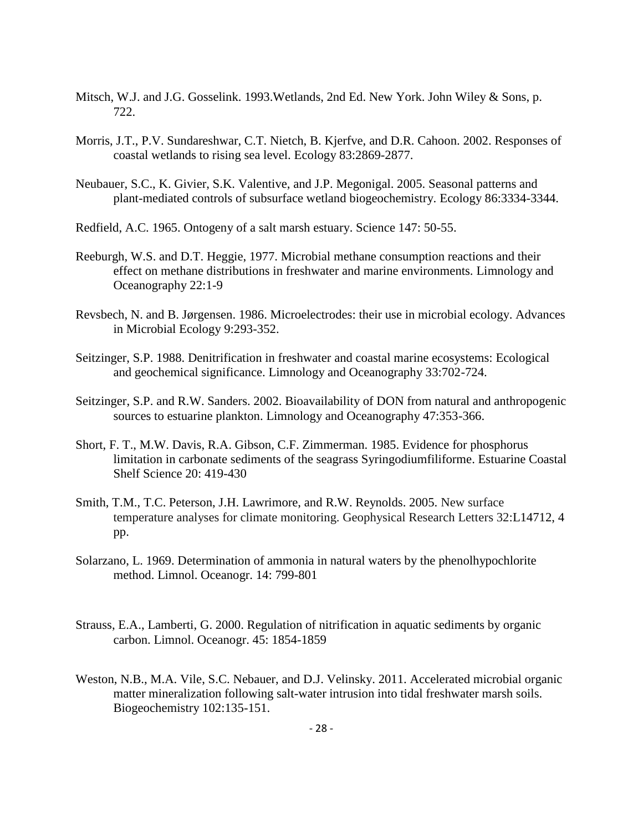- Mitsch, W.J. and J.G. Gosselink. 1993.Wetlands, 2nd Ed. New York. John Wiley & Sons, p. 722.
- Morris, J.T., P.V. Sundareshwar, C.T. Nietch, B. Kjerfve, and D.R. Cahoon. 2002. Responses of coastal wetlands to rising sea level. Ecology 83:2869-2877.
- Neubauer, S.C., K. Givier, S.K. Valentive, and J.P. Megonigal. 2005. Seasonal patterns and plant-mediated controls of subsurface wetland biogeochemistry. Ecology 86:3334-3344.
- Redfield, A.C. 1965. Ontogeny of a salt marsh estuary. Science 147: 50-55.
- Reeburgh, W.S. and D.T. Heggie, 1977. Microbial methane consumption reactions and their effect on methane distributions in freshwater and marine environments. Limnology and Oceanography 22:1-9
- Revsbech, N. and B. Jørgensen. 1986. Microelectrodes: their use in microbial ecology. Advances in Microbial Ecology 9:293-352.
- Seitzinger, S.P. 1988. Denitrification in freshwater and coastal marine ecosystems: Ecological and geochemical significance. Limnology and Oceanography 33:702-724.
- Seitzinger, S.P. and R.W. Sanders. 2002. Bioavailability of DON from natural and anthropogenic sources to estuarine plankton. Limnology and Oceanography 47:353-366.
- Short, F. T., M.W. Davis, R.A. Gibson, C.F. Zimmerman. 1985. Evidence for phosphorus limitation in carbonate sediments of the seagrass Syringodiumfiliforme. Estuarine Coastal Shelf Science 20: 419-430
- Smith, T.M., T.C. Peterson, J.H. Lawrimore, and R.W. Reynolds. 2005. New surface temperature analyses for climate monitoring. Geophysical Research Letters 32:L14712, 4 pp.
- Solarzano, L. 1969. Determination of ammonia in natural waters by the phenolhypochlorite method. Limnol. Oceanogr. 14: 799-801
- Strauss, E.A., Lamberti, G. 2000. Regulation of nitrification in aquatic sediments by organic carbon. Limnol. Oceanogr. 45: 1854-1859
- Weston, N.B., M.A. Vile, S.C. Nebauer, and D.J. Velinsky. 2011. Accelerated microbial organic matter mineralization following salt-water intrusion into tidal freshwater marsh soils. Biogeochemistry 102:135-151.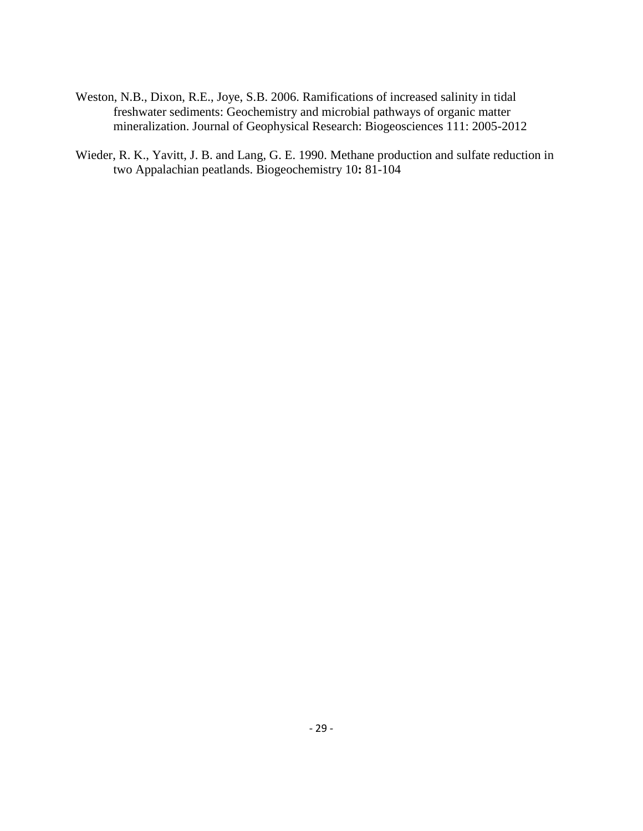- Weston, N.B., Dixon, R.E., Joye, S.B. 2006. Ramifications of increased salinity in tidal freshwater sediments: Geochemistry and microbial pathways of organic matter mineralization. Journal of Geophysical Research: Biogeosciences 111: 2005-2012
- Wieder, R. K., Yavitt, J. B. and Lang, G. E. 1990. Methane production and sulfate reduction in two Appalachian peatlands. Biogeochemistry 10**:** 81-104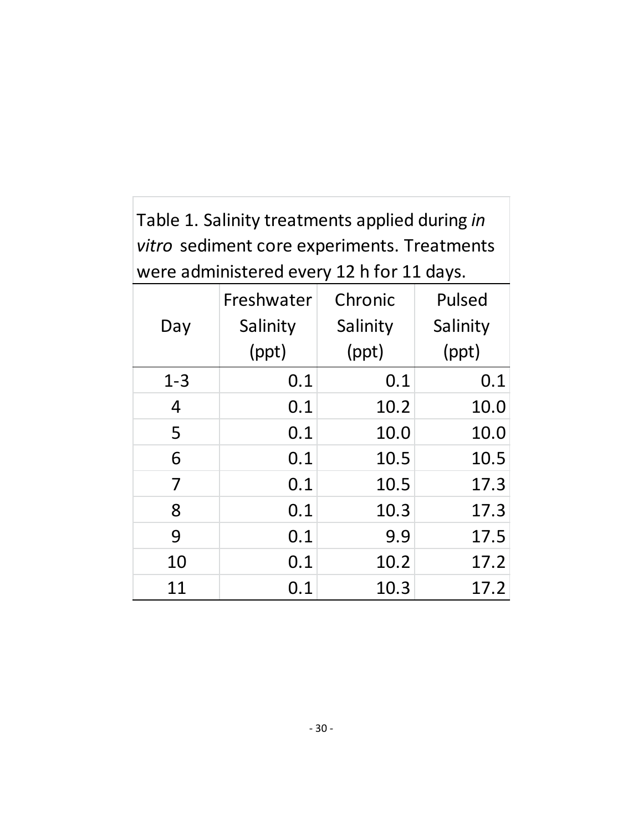Table 1. Salinity treatments applied during *in vitro* sediment core experiments. Treatments were administered every 12 h for 11 days.

|         | Freshwater | Chronic  | Pulsed   |  |
|---------|------------|----------|----------|--|
| Day     | Salinity   | Salinity | Salinity |  |
|         | (ppt)      | (ppt)    | (ppt)    |  |
| $1 - 3$ | 0.1        | 0.1      | 0.1      |  |
| 4       | 0.1        | 10.2     | 10.0     |  |
| 5       | 0.1        | 10.0     | 10.0     |  |
| 6       | 0.1        | 10.5     | 10.5     |  |
| 7       | 0.1        | 10.5     | 17.3     |  |
| 8       | 0.1        | 10.3     | 17.3     |  |
| 9       | 0.1        | 9.9      | 17.5     |  |
| 10      | 0.1        | 10.2     | 17.2     |  |
| 11      | 0.1        | 10.3     | 17.2     |  |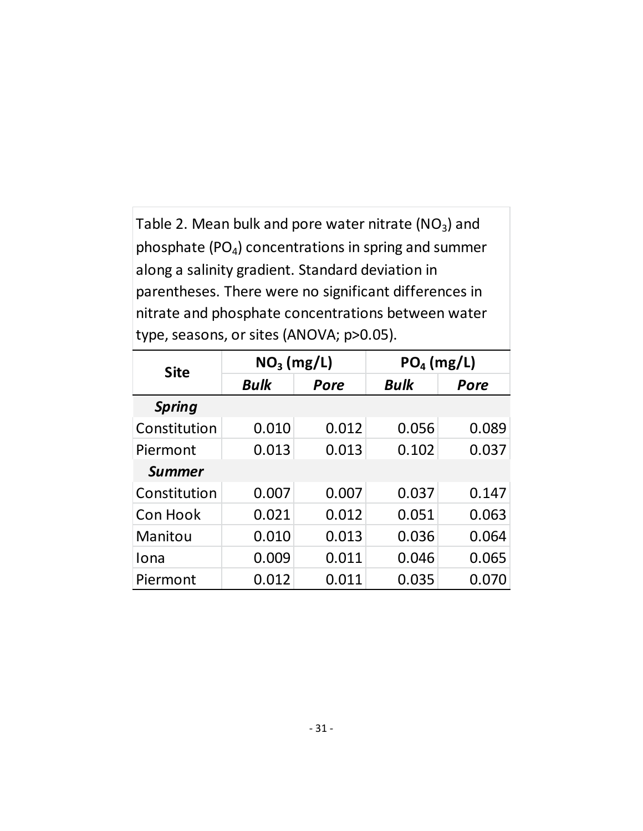Table 2. Mean bulk and pore water nitrate (NO<sub>3</sub>) and phosphate (PO <sup>4</sup>) concentrations in spring and summer along a salinity gradient. Standard deviation in parentheses. There were no significant differences in nitrate and phosphate concentrations between water

| type, seasons, or sites (ANOVA; p>0.05). |              |       |              |       |  |  |  |
|------------------------------------------|--------------|-------|--------------|-------|--|--|--|
| <b>Site</b>                              | $NO3$ (mg/L) |       | $PO4$ (mg/L) |       |  |  |  |
|                                          | <b>Bulk</b>  | Pore  | <b>Bulk</b>  | Pore  |  |  |  |
| <b>Spring</b>                            |              |       |              |       |  |  |  |
| Constitution                             | 0.010        | 0.012 | 0.056        | 0.089 |  |  |  |
| Piermont                                 | 0.013        | 0.013 | 0.102        | 0.037 |  |  |  |
| <b>Summer</b>                            |              |       |              |       |  |  |  |
| Constitution                             | 0.007        | 0.007 | 0.037        | 0.147 |  |  |  |
| Con Hook                                 | 0.021        | 0.012 | 0.051        | 0.063 |  |  |  |
| Manitou                                  | 0.010        | 0.013 | 0.036        | 0.064 |  |  |  |
| Iona                                     | 0.009        | 0.011 | 0.046        | 0.065 |  |  |  |
| Piermont                                 | 0.012        | 0.011 | 0.035        | 0.070 |  |  |  |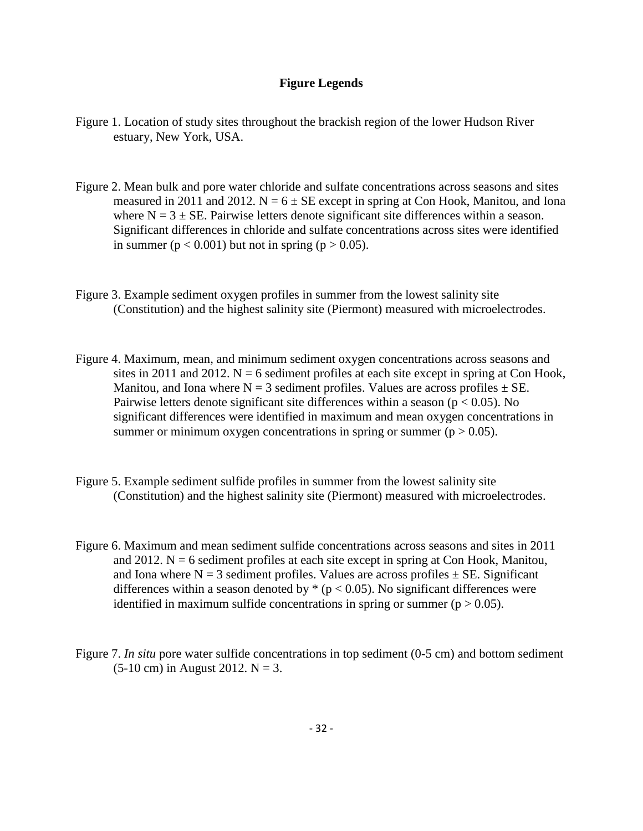## **Figure Legends**

- Figure 1. Location of study sites throughout the brackish region of the lower Hudson River estuary, New York, USA.
- Figure 2. Mean bulk and pore water chloride and sulfate concentrations across seasons and sites measured in 2011 and 2012.  $N = 6 \pm SE$  except in spring at Con Hook, Manitou, and Iona where  $N = 3 \pm SE$ . Pairwise letters denote significant site differences within a season. Significant differences in chloride and sulfate concentrations across sites were identified in summer ( $p < 0.001$ ) but not in spring ( $p > 0.05$ ).
- Figure 3. Example sediment oxygen profiles in summer from the lowest salinity site (Constitution) and the highest salinity site (Piermont) measured with microelectrodes.
- Figure 4. Maximum, mean, and minimum sediment oxygen concentrations across seasons and sites in 2011 and 2012.  $N = 6$  sediment profiles at each site except in spring at Con Hook, Manitou, and Iona where  $N = 3$  sediment profiles. Values are across profiles  $\pm$  SE. Pairwise letters denote significant site differences within a season ( $p < 0.05$ ). No significant differences were identified in maximum and mean oxygen concentrations in summer or minimum oxygen concentrations in spring or summer ( $p > 0.05$ ).
- Figure 5. Example sediment sulfide profiles in summer from the lowest salinity site (Constitution) and the highest salinity site (Piermont) measured with microelectrodes.
- Figure 6. Maximum and mean sediment sulfide concentrations across seasons and sites in 2011 and 2012.  $N = 6$  sediment profiles at each site except in spring at Con Hook, Manitou, and Iona where  $N = 3$  sediment profiles. Values are across profiles  $\pm$  SE. Significant differences within a season denoted by  $*(p < 0.05)$ . No significant differences were identified in maximum sulfide concentrations in spring or summer ( $p > 0.05$ ).
- Figure 7. *In situ* pore water sulfide concentrations in top sediment (0-5 cm) and bottom sediment  $(5-10 \text{ cm})$  in August 2012. N = 3.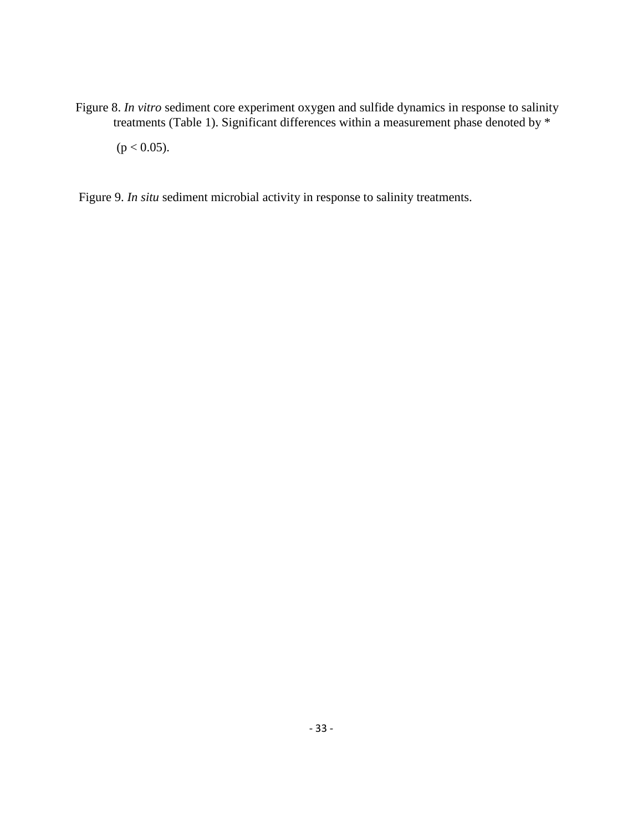Figure 8. *In vitro* sediment core experiment oxygen and sulfide dynamics in response to salinity treatments (Table 1). Significant differences within a measurement phase denoted by \*

 $(p < 0.05)$ .

Figure 9. *In situ* sediment microbial activity in response to salinity treatments.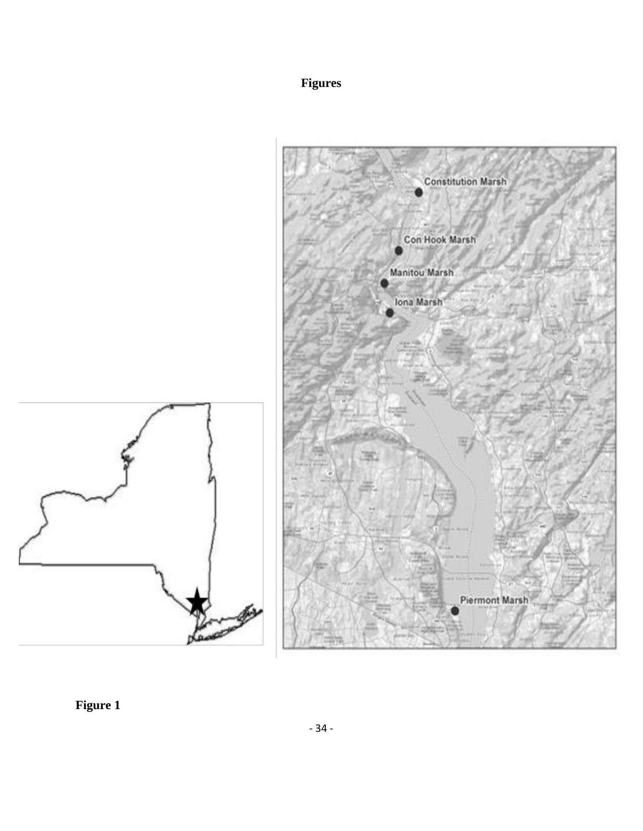## **Figures**



**Figure 1**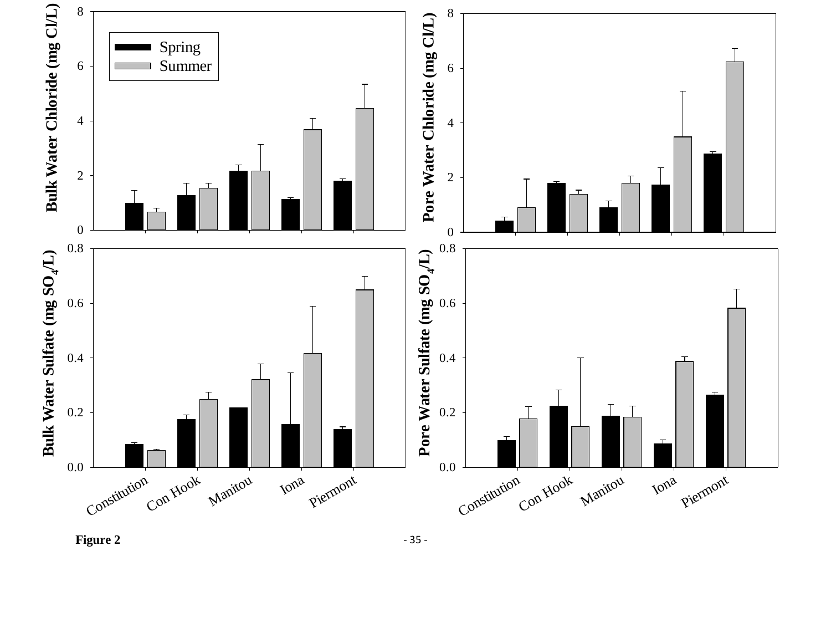



- 35 -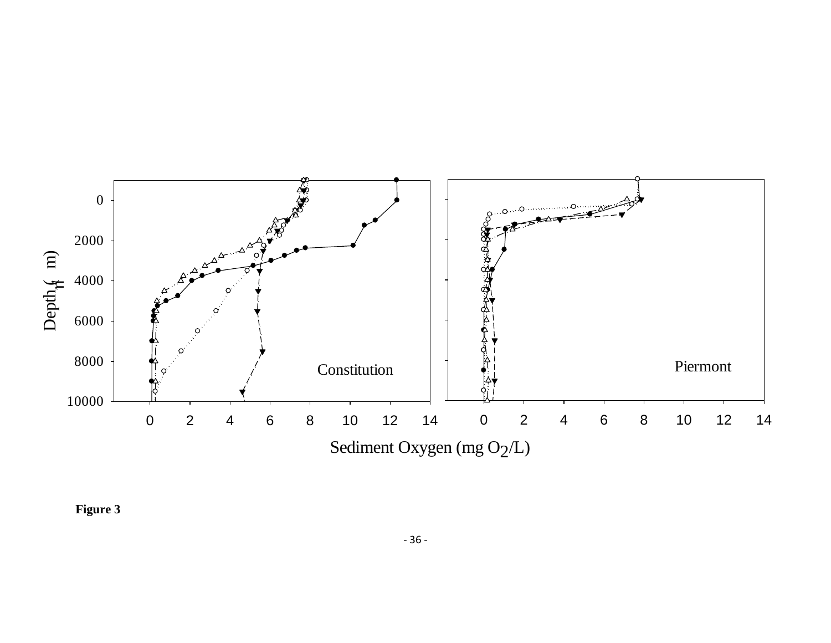

**Figure 3**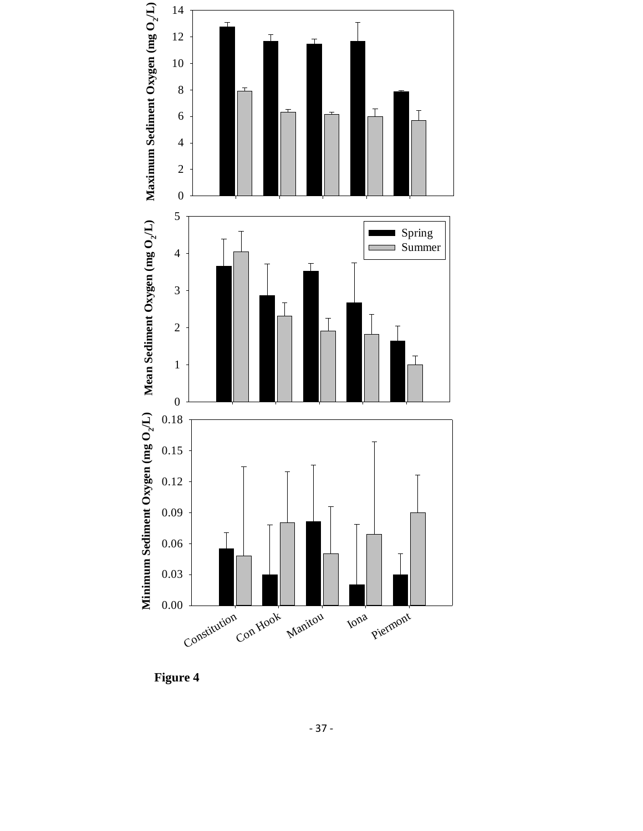

 **Figure 4**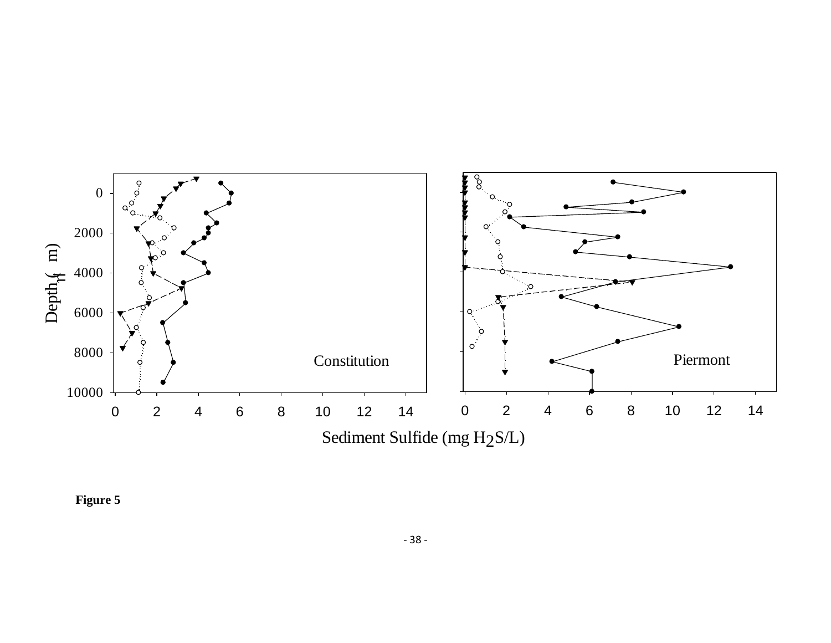

**Figure 5**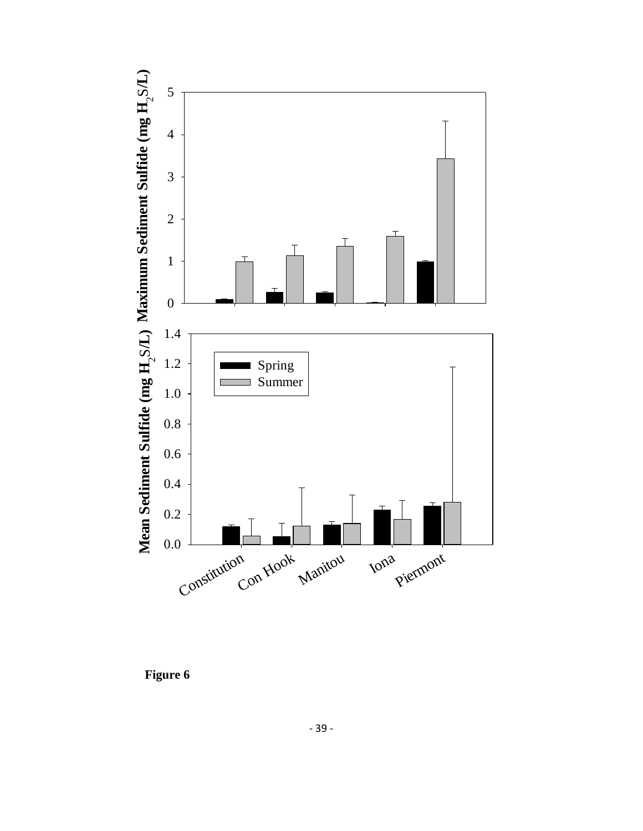

 **Figure 6**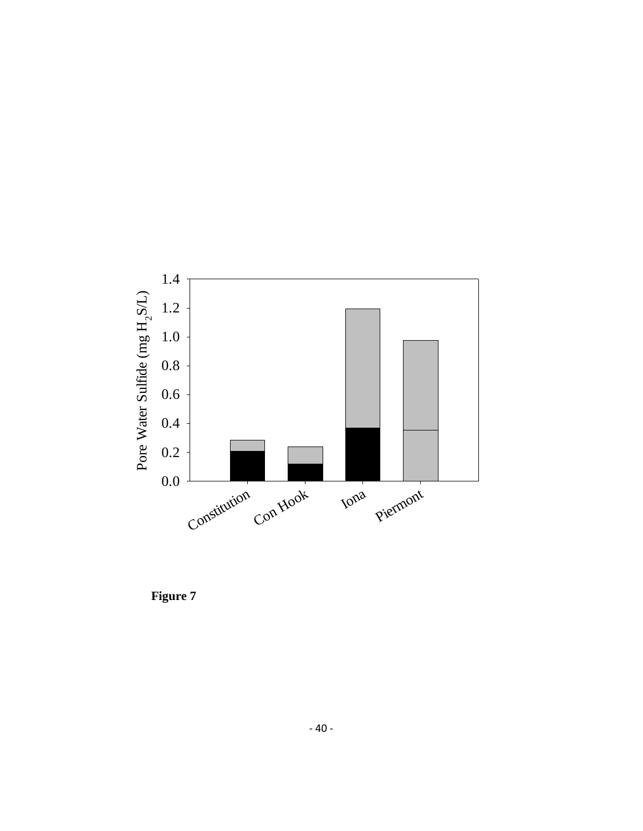

**Figure 7**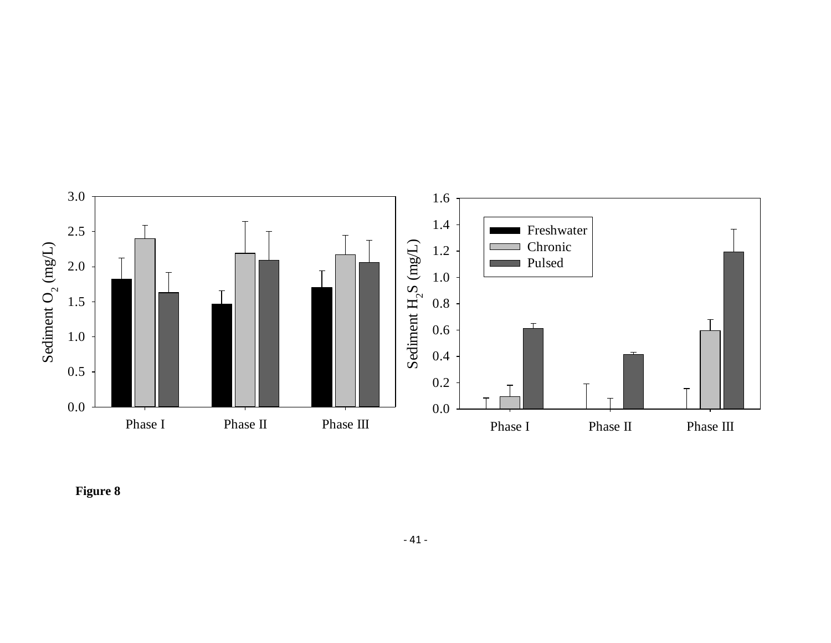

**Figure 8**